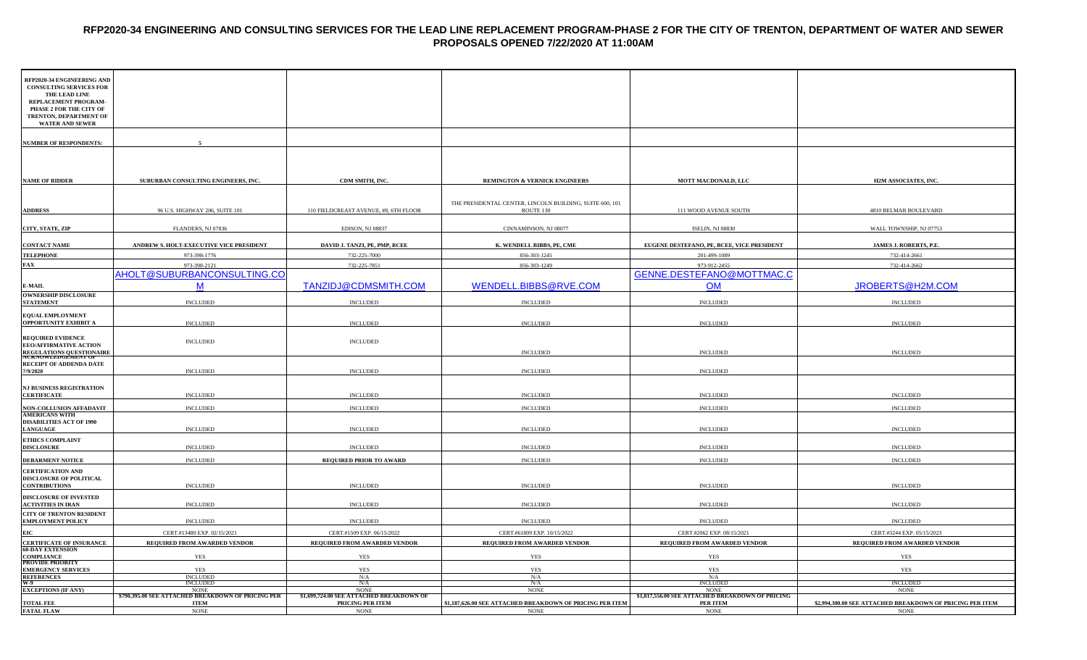#### **RFP2020-34 ENGINEERING AND CONSULTING SERVICES FOR THE LEAD LINE REPLACEMENT PROGRAM-PHASE 2 FOR THE CITY OF TRENTON, DEPARTMENT OF WATER AND SEWER PROPOSALS OPENED 7/22/2020 AT 11:00AM**

| RFP2020-34 ENGINEERING AND<br><b>CONSULTING SERVICES FOR</b><br>THE LEAD LINE<br>REPLACEMENT PROGRAM-<br>PHASE 2 FOR THE CITY OF<br>TRENTON, DEPARTMENT OF<br><b>WATER AND SEWER</b> |                                                                   |                                                            |                                                                       |                                                                    |                                                            |
|--------------------------------------------------------------------------------------------------------------------------------------------------------------------------------------|-------------------------------------------------------------------|------------------------------------------------------------|-----------------------------------------------------------------------|--------------------------------------------------------------------|------------------------------------------------------------|
| NUMBER OF RESPONDENTS:                                                                                                                                                               |                                                                   |                                                            |                                                                       |                                                                    |                                                            |
| <b>NAME OF BIDDER</b>                                                                                                                                                                | SUBURBAN CONSULTING ENGINEERS, INC.                               | CDM SMITH, INC.                                            | <b>REMINGTON &amp; VERNICK ENGINEERS</b>                              | MOTT MACDONALD, LLC                                                | H2M ASSOCIATES, INC.                                       |
|                                                                                                                                                                                      |                                                                   |                                                            |                                                                       |                                                                    |                                                            |
| <b>ADDRESS</b>                                                                                                                                                                       | 96 U.S. HIGHWAY 206, SUITE 101                                    | 110 FIELDCREAST AVENUE, #8, 6TH FLOOR                      | THE PRESIDENTAL CENTER, LINCOLN BUILDING, SUITE 600, 101<br>ROUTE 130 | 111 WOOD AVENUE SOUTH                                              | 4810 BELMAR BOULEVARD                                      |
| CITY, STATE, ZIP                                                                                                                                                                     | FLANDERS, NJ 07836                                                | EDISON, NJ 08837                                           | CINNAMINSON, NJ 08077                                                 | ISELIN, NJ 08830                                                   | WALL TOWNSHIP, NJ 07753                                    |
| <b>CONTACT NAME</b>                                                                                                                                                                  | ANDREW S. HOLT-EXECUTIVE VICE PRESIDENT                           | DAVID J. TANZI, PE, PMP, BCEE                              | K. WENDELL BIBBS, PE, CME                                             | EUGENE DESTEFANO, PE, BCEE, VICE PRESIDENT                         | JAMES J. ROBERTS, P.E.                                     |
| <b>TELEPHONE</b>                                                                                                                                                                     | 973-398-1776                                                      | 732-225-7000                                               | 856-303-1245                                                          | 201-499-1089                                                       | 732-414-2661                                               |
| FAX                                                                                                                                                                                  | 973-398-2121                                                      | 732-225-7851                                               | 856-303-1249                                                          | 973-912-2455                                                       | 732-414-2662                                               |
|                                                                                                                                                                                      | AHOLT@SUBURBANCONSULTING.CO                                       |                                                            |                                                                       | GENNE.DESTEFANO@MOTTMAC.C                                          |                                                            |
| <b>E-MAIL</b>                                                                                                                                                                        | M                                                                 | TANZIDJ@CDMSMITH.COM                                       | WENDELL.BIBBS@RVE.COM                                                 | <b>OM</b>                                                          | JROBERTS@H2M.COM                                           |
| <b>OWNERSHIP DISCLOSURE</b>                                                                                                                                                          |                                                                   |                                                            |                                                                       |                                                                    |                                                            |
| <b>STATEMENT</b>                                                                                                                                                                     | <b>INCLUDED</b>                                                   | <b>INCLUDED</b>                                            | <b>INCLUDED</b>                                                       | <b>INCLUDED</b>                                                    | <b>INCLUDED</b>                                            |
| EQUAL EMPLOYMENT<br><b>OPPORTUNITY EXHIBIT A</b>                                                                                                                                     | <b>INCLUDED</b>                                                   | <b>INCLUDED</b>                                            | <b>INCLUDED</b>                                                       | <b>INCLUDED</b>                                                    | <b>INCLUDED</b>                                            |
| <b>REQUIRED EVIDENCE</b><br><b>EEO/AFFIRMATIVE ACTION</b><br>REGULATIONS QUESTIONAIRE<br>ACKNOWLEDGEMENT OF                                                                          | <b>INCLUDED</b>                                                   | <b>INCLUDED</b>                                            | <b>INCLUDED</b>                                                       | <b>INCLUDED</b>                                                    | <b>INCLUDED</b>                                            |
| RECEIPT OF ADDENDA DATE                                                                                                                                                              |                                                                   |                                                            |                                                                       |                                                                    |                                                            |
| /9/2020                                                                                                                                                                              | <b>INCLUDED</b>                                                   | <b>INCLUDED</b>                                            | <b>INCLUDED</b>                                                       | <b>INCLUDED</b>                                                    |                                                            |
| <b>NJ BUSINESS REGISTRATION</b>                                                                                                                                                      |                                                                   |                                                            |                                                                       |                                                                    |                                                            |
| <b>CERTIFICATE</b>                                                                                                                                                                   | <b>INCLUDED</b>                                                   | $\sf INCLUDED$                                             | <b>INCLUDED</b>                                                       | <b>INCLUDED</b>                                                    | <b>INCLUDED</b>                                            |
| NON-COLLUSION AFFADAVIT<br><b>AMERICANS WITH</b>                                                                                                                                     | <b>INCLUDED</b>                                                   | <b>INCLUDED</b>                                            | <b>INCLUDED</b>                                                       | <b>INCLUDED</b>                                                    | $\sf INCLUDED$                                             |
| <b>DISABILITIES ACT OF 1990</b>                                                                                                                                                      |                                                                   |                                                            |                                                                       |                                                                    |                                                            |
| <b>LANGUAGE</b>                                                                                                                                                                      | <b>INCLUDED</b>                                                   | <b>INCLUDED</b>                                            | <b>INCLUDED</b>                                                       | <b>INCLUDED</b>                                                    | <b>INCLUDED</b>                                            |
| <b>ETHICS COMPLAINT</b><br><b>DISCLOSURE</b>                                                                                                                                         | <b>INCLUDED</b>                                                   | <b>INCLUDED</b>                                            | <b>INCLUDED</b>                                                       | <b>INCLUDED</b>                                                    | <b>INCLUDED</b>                                            |
| <b>DEBARMENT NOTICE</b>                                                                                                                                                              | <b>INCLUDED</b>                                                   | <b>REQUIRED PRIOR TO AWARD</b>                             | <b>INCLUDED</b>                                                       | <b>INCLUDED</b>                                                    | <b>INCLUDED</b>                                            |
| <b>CERTIFICATION AND</b><br><b>DISCLOSURE OF POLITICAL</b>                                                                                                                           |                                                                   |                                                            |                                                                       |                                                                    |                                                            |
| <b>CONTRIBUTIONS</b>                                                                                                                                                                 | <b>INCLUDED</b>                                                   | <b>INCLUDED</b>                                            | <b>INCLUDED</b>                                                       | <b>INCLUDED</b>                                                    | <b>INCLUDED</b>                                            |
| <b>DISCLOSURE OF INVESTED</b><br><b>ACTIVITIES IN IRAN</b>                                                                                                                           | <b>INCLUDED</b>                                                   | <b>INCLUDED</b>                                            | <b>INCLUDED</b>                                                       | <b>INCLUDED</b>                                                    | <b>INCLUDED</b>                                            |
| CITY OF TRENTON RESIDENT<br><b>EMPLOYMENT POLICY</b>                                                                                                                                 | <b>INCLUDED</b>                                                   | <b>INCLUDED</b>                                            | <b>INCLUDED</b>                                                       | <b>INCLUDED</b>                                                    | $\sf INCLUDED$                                             |
| EIC                                                                                                                                                                                  |                                                                   |                                                            |                                                                       |                                                                    |                                                            |
| <b>CERTIFICATE OF INSURANCE</b>                                                                                                                                                      | CERT.#13480 EXP. 02/15/2021<br>REQUIRED FROM AWARDED VENDOR       | CERT.#1509 EXP. 06/15/2022<br>REQUIRED FROM AWARDED VENDOR | CERT.#61809 EXP. 10/15/2022<br>REQUIRED FROM AWARDED VENDOR           | CERT.#2062 EXP. 08/15/2021<br>REQUIRED FROM AWARDED VENDOR         | CERT.#3244 EXP. 05/15/2023<br>REQUIRED FROM AWARDED VENDOR |
| <b>60-DAY EXTENSION</b>                                                                                                                                                              |                                                                   |                                                            |                                                                       |                                                                    |                                                            |
| COMPLIANCE<br><b>PROVIDE PRIORITY</b>                                                                                                                                                | <b>YES</b>                                                        | YES                                                        | <b>YES</b>                                                            | <b>YES</b>                                                         | <b>YES</b>                                                 |
| <b>EMERGENCY SERVICES</b><br><b>REFERENCES</b>                                                                                                                                       | <b>YES</b><br><b>INCLUDED</b>                                     | <b>YES</b><br>N/A                                          | <b>YES</b><br>N/A                                                     | <b>YES</b><br>N/A                                                  | <b>YES</b>                                                 |
| N-9                                                                                                                                                                                  | <b>INCLUDED</b>                                                   | N/A                                                        | N/A                                                                   | <b>INCLUDED</b>                                                    | <b>INCLUDED</b>                                            |
| <b>EXCEPTIONS (IF ANY)</b>                                                                                                                                                           | <b>NONE</b><br>\$790,395.00 SEE ATTACHED BREAKDOWN OF PRICING PER | <b>NONE</b><br>\$1,699,724.00 SEE ATTACHED BREAKDOWN OI    | <b>NONE</b>                                                           | <b>NONE</b><br>\$1,817,556.00 SEE AT<br>ACHED BREAKDOWN OF PRICING | <b>NONE</b>                                                |
| <b>TOTAL FEE</b>                                                                                                                                                                     | <b>ITEM</b>                                                       | PRICING PER ITEM                                           | \$1,187,626.00 SEE ATTACHED BREAKDOWN OF PRICING PER ITEM             | <b>PER ITEM</b>                                                    | \$2,994,300.00 SEE ATTACHED BREAKDOWN OF PRICING PER ITEM  |
| <b>FATAL FLAW</b>                                                                                                                                                                    | <b>NONE</b>                                                       | <b>NONE</b>                                                | <b>NONE</b>                                                           | <b>NONE</b>                                                        | <b>NONE</b>                                                |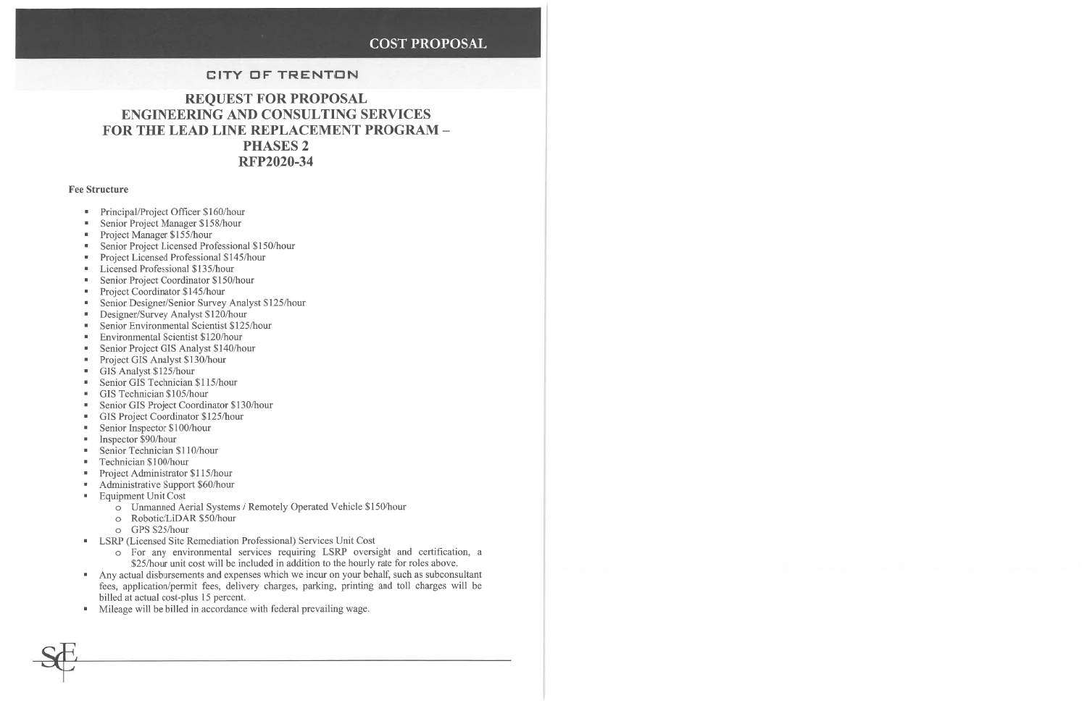### **COST PROPOSAL**

### **CITY OF TRENTON**

### **REQUEST FOR PROPOSAL ENGINEERING AND CONSULTING SERVICES** FOR THE LEAD LINE REPLACEMENT PROGRAM -**PHASES 2 RFP2020-34**

#### **Fee Structure**

- Principal/Project Officer \$160/hour
- Senior Project Manager \$158/hour  $\mathbf{H}$  .
- Project Manager  $$155/hour$
- Senior Project Licensed Professional \$150/hour  $\blacksquare$
- Project Licensed Professional \$145/hour  $\mathbf{u}$  .
- **E** Licensed Professional \$135/hour
- Senior Project Coordinator \$150/hour  $\mathbf{R}^{(1)}$
- Project Coordinator \$145/hour  $\mathbf{u}$  .
- Senior Designer/Senior Survey Analyst \$125/hour  $\mathbf{m}$  .
- Designer/Survey Analyst \$120/hour  $\mathbf{u}$  .
- Senior Environmental Scientist \$125/hour  $\blacksquare$
- Environmental Scientist \$120/hour  $\mathbf{H}$  .
- Senior Project GIS Analyst \$140/hour  $\blacksquare$
- Project GIS Analyst \$130/hour  $\blacksquare$
- GIS Analyst  $$125/hour$
- Senior GIS Technician \$115/hour  $\blacksquare$
- GIS Technician \$105/hour  $\mathbf{u}$
- Senior GIS Project Coordinator \$130/hour  $\blacksquare$
- GIS Project Coordinator \$125/hour  $\mathbf{u}$  .
- Senior Inspector \$100/hour  $\mathbf{u}$
- Inspector \$90/hour  $\mathbf{m}$  .
- Senior Technician \$110/hour  $\blacksquare$
- Technician \$100/hour  $\mathbf{u}$  .
- Project Administrator \$115/hour  $\mathbf{u}$  .
- Administrative Support \$60/hour  $\mathbf{H}^{\pm}$
- **Equipment Unit Cost** 
	- o Unmanned Aerial Systems / Remotely Operated Vehicle \$150/hour
	- o Robotic/LiDAR \$50/hour
	- o GPS \$25/hour
- LSRP (Licensed Site Remediation Professional) Services Unit Cost
	- o For any environmental services requiring LSRP oversight and certification, a \$25/hour unit cost will be included in addition to the hourly rate for roles above.
- Any actual disbursements and expenses which we incur on your behalf, such as subconsultant fees, application/permit fees, delivery charges, parking, printing and toll charges will be billed at actual cost-plus 15 percent.
- Mileage will be billed in accordance with federal prevailing wage.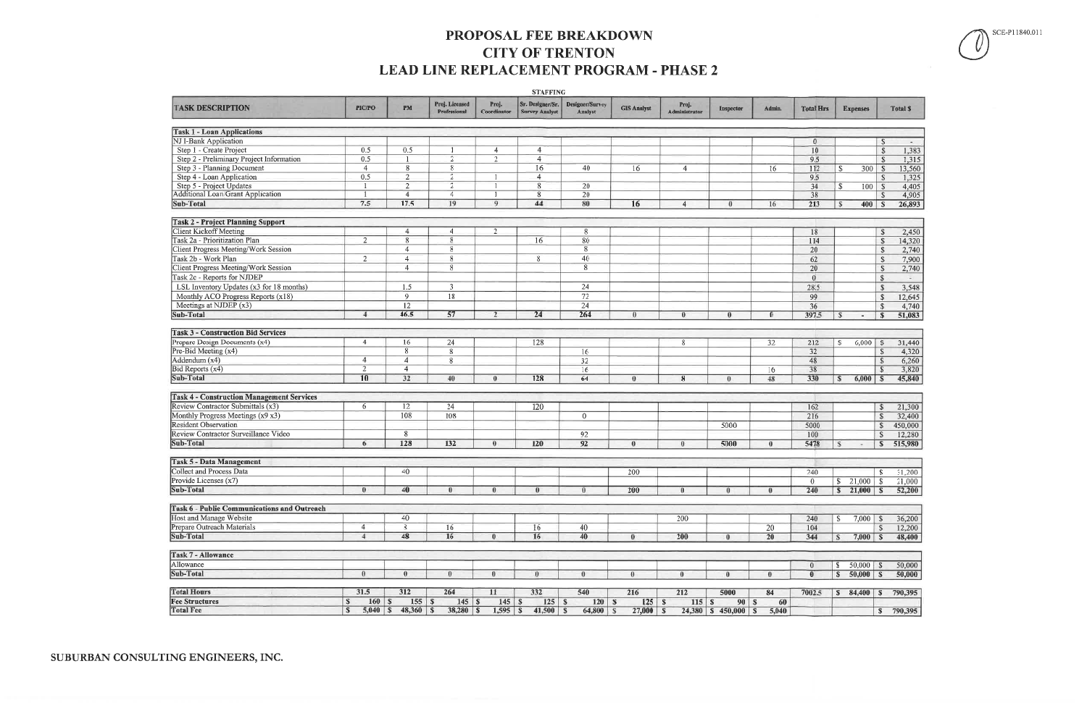### PROPOSAL FEE BREAKDOWN **CITY OF TRENTON** LEAD LINE REPLACEMENT PROGRAM - PHASE 2

| Proj. Licensed<br>Proj.<br>Sr. Designer/Sr.<br>Designer/Survey<br>Proj.<br><b>TASK DESCRIPTION</b><br>PIC/PO<br><b>PM</b><br><b>GIS Analyst</b><br><b>Total Hrs</b><br>Admin.<br><b>Expenses</b><br><b>Total \$</b><br><b>Inspector</b><br>Professional<br>Coordinator<br><b>Survey Analyst</b><br><b>Analyst</b><br>Administrator<br><b>Task 1 - Loan Applications</b><br><b>NJ I-Bank Application</b><br>$\mathbf{0}$<br>S<br>Step 1 - Create Project<br>0.5<br>0.5<br>$\overline{4}$<br>$\overline{4}$<br>10<br>1,383<br>$\mathcal{S}$<br>-1<br>Step 2 - Preliminary Project Information<br>0.5<br>$\overline{2}$<br>$\overline{2}$<br>$\overline{4}$<br>9.5<br>$\mathbb{S}$<br>1,315<br>$\overline{8}$<br>16<br>Step 3 - Planning Document<br>$\overline{4}$<br>8<br>40<br>112<br>13,560<br>16<br>300<br>$\mathsf{S}$<br>$\overline{4}$<br>16<br>S<br>Step 4 - Loan Application<br>0.5<br>$\overline{2}$<br>$\overline{2}$<br>$\overline{4}$<br>9.5<br>1,325<br><sup>S</sup><br>- 1<br>Step 5 - Project Updates<br>$\overline{2}$<br>$\overline{2}$<br>8<br>20<br>34<br>4,405<br>100<br>S.<br>$\vert$ s<br>$\overline{8}$<br>$\overline{4}$<br>$\overline{20}$<br>38<br>4,905<br>$\overline{4}$<br>-S<br>17.5<br>19<br>44<br>7.5<br>9<br>80<br>16<br>213<br>26,893<br>$400$ $\overline{\text{S}}$<br>$\overline{\mathbf{4}}$<br>$\bf{0}$<br>16<br>S<br><b>Task 2 - Project Planning Support</b><br><b>Client Kickoff Meeting</b><br>$\overline{2}$<br>4<br>18<br>4<br>8<br>2,450<br>-\$<br>8<br>$\overline{2}$<br>8<br>16<br>80<br>114<br>$\mathbf{s}$<br>14,320<br><b>Client Progress Meeting/Work Session</b><br>8<br>2,740<br>4<br>8<br>20<br>$\mathbf{s}$<br>Task 2b - Work Plan<br>8<br>62<br>$\overline{2}$<br>$\overline{4}$<br>8<br>40<br>7,900<br><sup>S</sup><br>Client Progress Meeting/Work Session<br>8<br>8<br>20<br>$\overline{4}$<br>2,740<br><sup>S</sup><br>Task 2c - Reports for NJDEP<br>$\alpha$<br>$\mathbb{S}$<br>$\sim$<br>LSL Inventory Updates (x3 for 18 months)<br>3<br>1.5<br>24<br>28.5<br>$\mathbf{s}$<br>3,548<br>Monthly ACO Progress Reports (x18)<br>9<br>18<br>99<br>72<br>12,645<br>-S<br>Meetings at NJDEP $(x3)$<br>12<br>24<br>36<br>4,740<br>-\$<br>Sub-Total<br>46.5<br>57<br>264<br>24<br>51,083<br>397.5<br>$\overline{4}$<br>$\theta$<br>$\theta$<br>$\theta$<br>$\mathbf{s}$<br>∩<br>s<br>$\overline{\phantom{a}}$<br><b>Task 3 - Construction Bid Services</b><br>Prepare Design Documents (x4)<br>24<br>128<br>4<br>16<br>8<br>32<br>212<br>6,000<br>$\mathcal{S}$<br>31,440<br>S.<br>Pre-Bid Meeting (x4)<br>8<br>16<br>8<br>32<br>4,320<br><sub>S</sub><br>Addendum (x4)<br>$\overline{4}$<br>32<br>$\overline{4}$<br>8<br>48<br>$\mathbb{S}$<br>6,260<br>Bid Reports (x4)<br>2<br>16<br>$\overline{4}$<br>38<br>$\sqrt{5}$<br>16<br>32<br>128<br>64<br>10<br>40<br>330<br>$\bf{0}$<br>$\theta$<br>8<br>48<br>6,000<br><sup>\$</sup><br>-S<br>$\bf{0}$<br>24<br>6<br>12<br>120<br>162<br>21,300<br>S<br>Monthly Progress Meetings (x9 x3)<br>108<br>108<br>216<br>$\mathbf{0}$<br>$\mathbf S$<br>32,400<br>5000<br>5000<br>S<br>450,000<br>8<br>100<br>92<br>12,280<br>S<br><b>128</b><br>92<br><b>132</b><br>120<br>5000<br>5478<br>515,980<br>6<br>$\theta$<br>$\theta$<br>$\theta$<br><b>S</b><br>$\theta$<br>S<br><b>Task 5 - Data Management</b><br>Collect and Process Data<br>40<br>200<br>240<br>31,200<br>-S<br>Provide Licenses (x7)<br>$\sqrt[6]{3}$<br>$\overline{0}$<br>$21,000$ \$<br>21,000<br>40<br>$\bf{0}$<br>$\bf{0}$<br>200<br>$\bf{0}$<br>$\bf{0}$<br>$\bf{0}$<br>240<br>$21,000$ \$<br>52,200<br>$\bf{0}$<br>$\mathbb{S}$<br>$\bf{0}$<br>$\bf{0}$<br><b>Task 6 - Public Communications and Outreach</b><br>Host and Manage Website<br>40<br>200<br>240<br>$7,000$ \$<br>36,200<br>-S<br>Prepare Outreach Materials<br>$\,$ 8 $\,$<br>16<br>16<br>$\overline{4}$<br>40<br>20<br>104<br>12,200<br>S<br>Sub-Total<br>48<br>16<br>$\overline{4}$<br>16<br>40<br>$\overline{20}$<br>$\bf{0}$<br>200<br>344<br>$7,000$ \$<br>48,400<br>$\theta$<br>$\theta$<br><b>S</b><br>Allowance<br>$50,000$ \$<br>50,000<br>S.<br>$\Omega$<br>Sub-Total<br>$\theta$<br>$\theta$<br>$\theta$<br>$50,000$ \$<br>50,000<br>$\theta$<br>$\bf{0}$<br>$\bf{0}$<br>$\theta$<br>$\sqrt{s}$<br>$\theta$<br>$\bf{0}$<br>$\theta$<br>$\mathbf{0}$<br>31.5<br>312<br>264<br>332<br>540<br>11<br>216<br>212<br>5000<br>84<br>7002.5<br>$84,400$ $$$<br>790,395<br>$155$ $\sqrt{s}$<br>$\mathbf{s}$<br>$160 \mid S$<br>$120 \mid S$<br>$115$ \$<br>$90 \mid S$<br>60<br>S<br>$5,040$ \$<br>$48,360$ \$<br>$38,280$ \$<br>$1,595$ \$<br>$41,500$ \$<br>$64,800$ \$<br>$27,000$ \$<br>$24,380$ \$ 450,000 \$<br>5,040<br>790,395<br>$\mathbb{S}$ |                                                  |  |  | <b>STAFFING</b> |  |  |  |  |  |
|---------------------------------------------------------------------------------------------------------------------------------------------------------------------------------------------------------------------------------------------------------------------------------------------------------------------------------------------------------------------------------------------------------------------------------------------------------------------------------------------------------------------------------------------------------------------------------------------------------------------------------------------------------------------------------------------------------------------------------------------------------------------------------------------------------------------------------------------------------------------------------------------------------------------------------------------------------------------------------------------------------------------------------------------------------------------------------------------------------------------------------------------------------------------------------------------------------------------------------------------------------------------------------------------------------------------------------------------------------------------------------------------------------------------------------------------------------------------------------------------------------------------------------------------------------------------------------------------------------------------------------------------------------------------------------------------------------------------------------------------------------------------------------------------------------------------------------------------------------------------------------------------------------------------------------------------------------------------------------------------------------------------------------------------------------------------------------------------------------------------------------------------------------------------------------------------------------------------------------------------------------------------------------------------------------------------------------------------------------------------------------------------------------------------------------------------------------------------------------------------------------------------------------------------------------------------------------------------------------------------------------------------------------------------------------------------------------------------------------------------------------------------------------------------------------------------------------------------------------------------------------------------------------------------------------------------------------------------------------------------------------------------------------------------------------------------------------------------------------------------------------------------------------------------------------------------------------------------------------------------------------------------------------------------------------------------------------------------------------------------------------------------------------------------------------------------------------------------------------------------------------------------------------------------------------------------------------------------------------------------------------------------------------------------------------------------------------------------------------------------------------------------------------------------------------------------------------------------------------------------------------------------------------------------------------------------------------------------------------------------------------------------------------------------------------------------------------------------------------------------------------------------------------------------------------------------------------------------------------------------------------------------------------------------------------------------------------------------------------------------------------------------------------------------------------------------------------------------------------------------------------------------------------------------------------------------------------------------------------------------------------------------------------------------------------------------|--------------------------------------------------|--|--|-----------------|--|--|--|--|--|
|                                                                                                                                                                                                                                                                                                                                                                                                                                                                                                                                                                                                                                                                                                                                                                                                                                                                                                                                                                                                                                                                                                                                                                                                                                                                                                                                                                                                                                                                                                                                                                                                                                                                                                                                                                                                                                                                                                                                                                                                                                                                                                                                                                                                                                                                                                                                                                                                                                                                                                                                                                                                                                                                                                                                                                                                                                                                                                                                                                                                                                                                                                                                                                                                                                                                                                                                                                                                                                                                                                                                                                                                                                                                                                                                                                                                                                                                                                                                                                                                                                                                                                                                                                                                                                                                                                                                                                                                                                                                                                                                                                                                                                                                                             |                                                  |  |  |                 |  |  |  |  |  |
|                                                                                                                                                                                                                                                                                                                                                                                                                                                                                                                                                                                                                                                                                                                                                                                                                                                                                                                                                                                                                                                                                                                                                                                                                                                                                                                                                                                                                                                                                                                                                                                                                                                                                                                                                                                                                                                                                                                                                                                                                                                                                                                                                                                                                                                                                                                                                                                                                                                                                                                                                                                                                                                                                                                                                                                                                                                                                                                                                                                                                                                                                                                                                                                                                                                                                                                                                                                                                                                                                                                                                                                                                                                                                                                                                                                                                                                                                                                                                                                                                                                                                                                                                                                                                                                                                                                                                                                                                                                                                                                                                                                                                                                                                             |                                                  |  |  |                 |  |  |  |  |  |
| 3,820<br>45,840                                                                                                                                                                                                                                                                                                                                                                                                                                                                                                                                                                                                                                                                                                                                                                                                                                                                                                                                                                                                                                                                                                                                                                                                                                                                                                                                                                                                                                                                                                                                                                                                                                                                                                                                                                                                                                                                                                                                                                                                                                                                                                                                                                                                                                                                                                                                                                                                                                                                                                                                                                                                                                                                                                                                                                                                                                                                                                                                                                                                                                                                                                                                                                                                                                                                                                                                                                                                                                                                                                                                                                                                                                                                                                                                                                                                                                                                                                                                                                                                                                                                                                                                                                                                                                                                                                                                                                                                                                                                                                                                                                                                                                                                             |                                                  |  |  |                 |  |  |  |  |  |
|                                                                                                                                                                                                                                                                                                                                                                                                                                                                                                                                                                                                                                                                                                                                                                                                                                                                                                                                                                                                                                                                                                                                                                                                                                                                                                                                                                                                                                                                                                                                                                                                                                                                                                                                                                                                                                                                                                                                                                                                                                                                                                                                                                                                                                                                                                                                                                                                                                                                                                                                                                                                                                                                                                                                                                                                                                                                                                                                                                                                                                                                                                                                                                                                                                                                                                                                                                                                                                                                                                                                                                                                                                                                                                                                                                                                                                                                                                                                                                                                                                                                                                                                                                                                                                                                                                                                                                                                                                                                                                                                                                                                                                                                                             |                                                  |  |  |                 |  |  |  |  |  |
|                                                                                                                                                                                                                                                                                                                                                                                                                                                                                                                                                                                                                                                                                                                                                                                                                                                                                                                                                                                                                                                                                                                                                                                                                                                                                                                                                                                                                                                                                                                                                                                                                                                                                                                                                                                                                                                                                                                                                                                                                                                                                                                                                                                                                                                                                                                                                                                                                                                                                                                                                                                                                                                                                                                                                                                                                                                                                                                                                                                                                                                                                                                                                                                                                                                                                                                                                                                                                                                                                                                                                                                                                                                                                                                                                                                                                                                                                                                                                                                                                                                                                                                                                                                                                                                                                                                                                                                                                                                                                                                                                                                                                                                                                             |                                                  |  |  |                 |  |  |  |  |  |
|                                                                                                                                                                                                                                                                                                                                                                                                                                                                                                                                                                                                                                                                                                                                                                                                                                                                                                                                                                                                                                                                                                                                                                                                                                                                                                                                                                                                                                                                                                                                                                                                                                                                                                                                                                                                                                                                                                                                                                                                                                                                                                                                                                                                                                                                                                                                                                                                                                                                                                                                                                                                                                                                                                                                                                                                                                                                                                                                                                                                                                                                                                                                                                                                                                                                                                                                                                                                                                                                                                                                                                                                                                                                                                                                                                                                                                                                                                                                                                                                                                                                                                                                                                                                                                                                                                                                                                                                                                                                                                                                                                                                                                                                                             |                                                  |  |  |                 |  |  |  |  |  |
|                                                                                                                                                                                                                                                                                                                                                                                                                                                                                                                                                                                                                                                                                                                                                                                                                                                                                                                                                                                                                                                                                                                                                                                                                                                                                                                                                                                                                                                                                                                                                                                                                                                                                                                                                                                                                                                                                                                                                                                                                                                                                                                                                                                                                                                                                                                                                                                                                                                                                                                                                                                                                                                                                                                                                                                                                                                                                                                                                                                                                                                                                                                                                                                                                                                                                                                                                                                                                                                                                                                                                                                                                                                                                                                                                                                                                                                                                                                                                                                                                                                                                                                                                                                                                                                                                                                                                                                                                                                                                                                                                                                                                                                                                             |                                                  |  |  |                 |  |  |  |  |  |
|                                                                                                                                                                                                                                                                                                                                                                                                                                                                                                                                                                                                                                                                                                                                                                                                                                                                                                                                                                                                                                                                                                                                                                                                                                                                                                                                                                                                                                                                                                                                                                                                                                                                                                                                                                                                                                                                                                                                                                                                                                                                                                                                                                                                                                                                                                                                                                                                                                                                                                                                                                                                                                                                                                                                                                                                                                                                                                                                                                                                                                                                                                                                                                                                                                                                                                                                                                                                                                                                                                                                                                                                                                                                                                                                                                                                                                                                                                                                                                                                                                                                                                                                                                                                                                                                                                                                                                                                                                                                                                                                                                                                                                                                                             |                                                  |  |  |                 |  |  |  |  |  |
|                                                                                                                                                                                                                                                                                                                                                                                                                                                                                                                                                                                                                                                                                                                                                                                                                                                                                                                                                                                                                                                                                                                                                                                                                                                                                                                                                                                                                                                                                                                                                                                                                                                                                                                                                                                                                                                                                                                                                                                                                                                                                                                                                                                                                                                                                                                                                                                                                                                                                                                                                                                                                                                                                                                                                                                                                                                                                                                                                                                                                                                                                                                                                                                                                                                                                                                                                                                                                                                                                                                                                                                                                                                                                                                                                                                                                                                                                                                                                                                                                                                                                                                                                                                                                                                                                                                                                                                                                                                                                                                                                                                                                                                                                             | <b>Additional Loan Grant Application</b>         |  |  |                 |  |  |  |  |  |
|                                                                                                                                                                                                                                                                                                                                                                                                                                                                                                                                                                                                                                                                                                                                                                                                                                                                                                                                                                                                                                                                                                                                                                                                                                                                                                                                                                                                                                                                                                                                                                                                                                                                                                                                                                                                                                                                                                                                                                                                                                                                                                                                                                                                                                                                                                                                                                                                                                                                                                                                                                                                                                                                                                                                                                                                                                                                                                                                                                                                                                                                                                                                                                                                                                                                                                                                                                                                                                                                                                                                                                                                                                                                                                                                                                                                                                                                                                                                                                                                                                                                                                                                                                                                                                                                                                                                                                                                                                                                                                                                                                                                                                                                                             | Sub-Total                                        |  |  |                 |  |  |  |  |  |
|                                                                                                                                                                                                                                                                                                                                                                                                                                                                                                                                                                                                                                                                                                                                                                                                                                                                                                                                                                                                                                                                                                                                                                                                                                                                                                                                                                                                                                                                                                                                                                                                                                                                                                                                                                                                                                                                                                                                                                                                                                                                                                                                                                                                                                                                                                                                                                                                                                                                                                                                                                                                                                                                                                                                                                                                                                                                                                                                                                                                                                                                                                                                                                                                                                                                                                                                                                                                                                                                                                                                                                                                                                                                                                                                                                                                                                                                                                                                                                                                                                                                                                                                                                                                                                                                                                                                                                                                                                                                                                                                                                                                                                                                                             |                                                  |  |  |                 |  |  |  |  |  |
|                                                                                                                                                                                                                                                                                                                                                                                                                                                                                                                                                                                                                                                                                                                                                                                                                                                                                                                                                                                                                                                                                                                                                                                                                                                                                                                                                                                                                                                                                                                                                                                                                                                                                                                                                                                                                                                                                                                                                                                                                                                                                                                                                                                                                                                                                                                                                                                                                                                                                                                                                                                                                                                                                                                                                                                                                                                                                                                                                                                                                                                                                                                                                                                                                                                                                                                                                                                                                                                                                                                                                                                                                                                                                                                                                                                                                                                                                                                                                                                                                                                                                                                                                                                                                                                                                                                                                                                                                                                                                                                                                                                                                                                                                             |                                                  |  |  |                 |  |  |  |  |  |
|                                                                                                                                                                                                                                                                                                                                                                                                                                                                                                                                                                                                                                                                                                                                                                                                                                                                                                                                                                                                                                                                                                                                                                                                                                                                                                                                                                                                                                                                                                                                                                                                                                                                                                                                                                                                                                                                                                                                                                                                                                                                                                                                                                                                                                                                                                                                                                                                                                                                                                                                                                                                                                                                                                                                                                                                                                                                                                                                                                                                                                                                                                                                                                                                                                                                                                                                                                                                                                                                                                                                                                                                                                                                                                                                                                                                                                                                                                                                                                                                                                                                                                                                                                                                                                                                                                                                                                                                                                                                                                                                                                                                                                                                                             | Task 2a - Prioritization Plan                    |  |  |                 |  |  |  |  |  |
|                                                                                                                                                                                                                                                                                                                                                                                                                                                                                                                                                                                                                                                                                                                                                                                                                                                                                                                                                                                                                                                                                                                                                                                                                                                                                                                                                                                                                                                                                                                                                                                                                                                                                                                                                                                                                                                                                                                                                                                                                                                                                                                                                                                                                                                                                                                                                                                                                                                                                                                                                                                                                                                                                                                                                                                                                                                                                                                                                                                                                                                                                                                                                                                                                                                                                                                                                                                                                                                                                                                                                                                                                                                                                                                                                                                                                                                                                                                                                                                                                                                                                                                                                                                                                                                                                                                                                                                                                                                                                                                                                                                                                                                                                             |                                                  |  |  |                 |  |  |  |  |  |
|                                                                                                                                                                                                                                                                                                                                                                                                                                                                                                                                                                                                                                                                                                                                                                                                                                                                                                                                                                                                                                                                                                                                                                                                                                                                                                                                                                                                                                                                                                                                                                                                                                                                                                                                                                                                                                                                                                                                                                                                                                                                                                                                                                                                                                                                                                                                                                                                                                                                                                                                                                                                                                                                                                                                                                                                                                                                                                                                                                                                                                                                                                                                                                                                                                                                                                                                                                                                                                                                                                                                                                                                                                                                                                                                                                                                                                                                                                                                                                                                                                                                                                                                                                                                                                                                                                                                                                                                                                                                                                                                                                                                                                                                                             |                                                  |  |  |                 |  |  |  |  |  |
|                                                                                                                                                                                                                                                                                                                                                                                                                                                                                                                                                                                                                                                                                                                                                                                                                                                                                                                                                                                                                                                                                                                                                                                                                                                                                                                                                                                                                                                                                                                                                                                                                                                                                                                                                                                                                                                                                                                                                                                                                                                                                                                                                                                                                                                                                                                                                                                                                                                                                                                                                                                                                                                                                                                                                                                                                                                                                                                                                                                                                                                                                                                                                                                                                                                                                                                                                                                                                                                                                                                                                                                                                                                                                                                                                                                                                                                                                                                                                                                                                                                                                                                                                                                                                                                                                                                                                                                                                                                                                                                                                                                                                                                                                             |                                                  |  |  |                 |  |  |  |  |  |
|                                                                                                                                                                                                                                                                                                                                                                                                                                                                                                                                                                                                                                                                                                                                                                                                                                                                                                                                                                                                                                                                                                                                                                                                                                                                                                                                                                                                                                                                                                                                                                                                                                                                                                                                                                                                                                                                                                                                                                                                                                                                                                                                                                                                                                                                                                                                                                                                                                                                                                                                                                                                                                                                                                                                                                                                                                                                                                                                                                                                                                                                                                                                                                                                                                                                                                                                                                                                                                                                                                                                                                                                                                                                                                                                                                                                                                                                                                                                                                                                                                                                                                                                                                                                                                                                                                                                                                                                                                                                                                                                                                                                                                                                                             |                                                  |  |  |                 |  |  |  |  |  |
|                                                                                                                                                                                                                                                                                                                                                                                                                                                                                                                                                                                                                                                                                                                                                                                                                                                                                                                                                                                                                                                                                                                                                                                                                                                                                                                                                                                                                                                                                                                                                                                                                                                                                                                                                                                                                                                                                                                                                                                                                                                                                                                                                                                                                                                                                                                                                                                                                                                                                                                                                                                                                                                                                                                                                                                                                                                                                                                                                                                                                                                                                                                                                                                                                                                                                                                                                                                                                                                                                                                                                                                                                                                                                                                                                                                                                                                                                                                                                                                                                                                                                                                                                                                                                                                                                                                                                                                                                                                                                                                                                                                                                                                                                             |                                                  |  |  |                 |  |  |  |  |  |
|                                                                                                                                                                                                                                                                                                                                                                                                                                                                                                                                                                                                                                                                                                                                                                                                                                                                                                                                                                                                                                                                                                                                                                                                                                                                                                                                                                                                                                                                                                                                                                                                                                                                                                                                                                                                                                                                                                                                                                                                                                                                                                                                                                                                                                                                                                                                                                                                                                                                                                                                                                                                                                                                                                                                                                                                                                                                                                                                                                                                                                                                                                                                                                                                                                                                                                                                                                                                                                                                                                                                                                                                                                                                                                                                                                                                                                                                                                                                                                                                                                                                                                                                                                                                                                                                                                                                                                                                                                                                                                                                                                                                                                                                                             |                                                  |  |  |                 |  |  |  |  |  |
|                                                                                                                                                                                                                                                                                                                                                                                                                                                                                                                                                                                                                                                                                                                                                                                                                                                                                                                                                                                                                                                                                                                                                                                                                                                                                                                                                                                                                                                                                                                                                                                                                                                                                                                                                                                                                                                                                                                                                                                                                                                                                                                                                                                                                                                                                                                                                                                                                                                                                                                                                                                                                                                                                                                                                                                                                                                                                                                                                                                                                                                                                                                                                                                                                                                                                                                                                                                                                                                                                                                                                                                                                                                                                                                                                                                                                                                                                                                                                                                                                                                                                                                                                                                                                                                                                                                                                                                                                                                                                                                                                                                                                                                                                             |                                                  |  |  |                 |  |  |  |  |  |
|                                                                                                                                                                                                                                                                                                                                                                                                                                                                                                                                                                                                                                                                                                                                                                                                                                                                                                                                                                                                                                                                                                                                                                                                                                                                                                                                                                                                                                                                                                                                                                                                                                                                                                                                                                                                                                                                                                                                                                                                                                                                                                                                                                                                                                                                                                                                                                                                                                                                                                                                                                                                                                                                                                                                                                                                                                                                                                                                                                                                                                                                                                                                                                                                                                                                                                                                                                                                                                                                                                                                                                                                                                                                                                                                                                                                                                                                                                                                                                                                                                                                                                                                                                                                                                                                                                                                                                                                                                                                                                                                                                                                                                                                                             |                                                  |  |  |                 |  |  |  |  |  |
|                                                                                                                                                                                                                                                                                                                                                                                                                                                                                                                                                                                                                                                                                                                                                                                                                                                                                                                                                                                                                                                                                                                                                                                                                                                                                                                                                                                                                                                                                                                                                                                                                                                                                                                                                                                                                                                                                                                                                                                                                                                                                                                                                                                                                                                                                                                                                                                                                                                                                                                                                                                                                                                                                                                                                                                                                                                                                                                                                                                                                                                                                                                                                                                                                                                                                                                                                                                                                                                                                                                                                                                                                                                                                                                                                                                                                                                                                                                                                                                                                                                                                                                                                                                                                                                                                                                                                                                                                                                                                                                                                                                                                                                                                             |                                                  |  |  |                 |  |  |  |  |  |
|                                                                                                                                                                                                                                                                                                                                                                                                                                                                                                                                                                                                                                                                                                                                                                                                                                                                                                                                                                                                                                                                                                                                                                                                                                                                                                                                                                                                                                                                                                                                                                                                                                                                                                                                                                                                                                                                                                                                                                                                                                                                                                                                                                                                                                                                                                                                                                                                                                                                                                                                                                                                                                                                                                                                                                                                                                                                                                                                                                                                                                                                                                                                                                                                                                                                                                                                                                                                                                                                                                                                                                                                                                                                                                                                                                                                                                                                                                                                                                                                                                                                                                                                                                                                                                                                                                                                                                                                                                                                                                                                                                                                                                                                                             |                                                  |  |  |                 |  |  |  |  |  |
|                                                                                                                                                                                                                                                                                                                                                                                                                                                                                                                                                                                                                                                                                                                                                                                                                                                                                                                                                                                                                                                                                                                                                                                                                                                                                                                                                                                                                                                                                                                                                                                                                                                                                                                                                                                                                                                                                                                                                                                                                                                                                                                                                                                                                                                                                                                                                                                                                                                                                                                                                                                                                                                                                                                                                                                                                                                                                                                                                                                                                                                                                                                                                                                                                                                                                                                                                                                                                                                                                                                                                                                                                                                                                                                                                                                                                                                                                                                                                                                                                                                                                                                                                                                                                                                                                                                                                                                                                                                                                                                                                                                                                                                                                             |                                                  |  |  |                 |  |  |  |  |  |
|                                                                                                                                                                                                                                                                                                                                                                                                                                                                                                                                                                                                                                                                                                                                                                                                                                                                                                                                                                                                                                                                                                                                                                                                                                                                                                                                                                                                                                                                                                                                                                                                                                                                                                                                                                                                                                                                                                                                                                                                                                                                                                                                                                                                                                                                                                                                                                                                                                                                                                                                                                                                                                                                                                                                                                                                                                                                                                                                                                                                                                                                                                                                                                                                                                                                                                                                                                                                                                                                                                                                                                                                                                                                                                                                                                                                                                                                                                                                                                                                                                                                                                                                                                                                                                                                                                                                                                                                                                                                                                                                                                                                                                                                                             |                                                  |  |  |                 |  |  |  |  |  |
|                                                                                                                                                                                                                                                                                                                                                                                                                                                                                                                                                                                                                                                                                                                                                                                                                                                                                                                                                                                                                                                                                                                                                                                                                                                                                                                                                                                                                                                                                                                                                                                                                                                                                                                                                                                                                                                                                                                                                                                                                                                                                                                                                                                                                                                                                                                                                                                                                                                                                                                                                                                                                                                                                                                                                                                                                                                                                                                                                                                                                                                                                                                                                                                                                                                                                                                                                                                                                                                                                                                                                                                                                                                                                                                                                                                                                                                                                                                                                                                                                                                                                                                                                                                                                                                                                                                                                                                                                                                                                                                                                                                                                                                                                             |                                                  |  |  |                 |  |  |  |  |  |
|                                                                                                                                                                                                                                                                                                                                                                                                                                                                                                                                                                                                                                                                                                                                                                                                                                                                                                                                                                                                                                                                                                                                                                                                                                                                                                                                                                                                                                                                                                                                                                                                                                                                                                                                                                                                                                                                                                                                                                                                                                                                                                                                                                                                                                                                                                                                                                                                                                                                                                                                                                                                                                                                                                                                                                                                                                                                                                                                                                                                                                                                                                                                                                                                                                                                                                                                                                                                                                                                                                                                                                                                                                                                                                                                                                                                                                                                                                                                                                                                                                                                                                                                                                                                                                                                                                                                                                                                                                                                                                                                                                                                                                                                                             |                                                  |  |  |                 |  |  |  |  |  |
|                                                                                                                                                                                                                                                                                                                                                                                                                                                                                                                                                                                                                                                                                                                                                                                                                                                                                                                                                                                                                                                                                                                                                                                                                                                                                                                                                                                                                                                                                                                                                                                                                                                                                                                                                                                                                                                                                                                                                                                                                                                                                                                                                                                                                                                                                                                                                                                                                                                                                                                                                                                                                                                                                                                                                                                                                                                                                                                                                                                                                                                                                                                                                                                                                                                                                                                                                                                                                                                                                                                                                                                                                                                                                                                                                                                                                                                                                                                                                                                                                                                                                                                                                                                                                                                                                                                                                                                                                                                                                                                                                                                                                                                                                             | Sub-Total                                        |  |  |                 |  |  |  |  |  |
|                                                                                                                                                                                                                                                                                                                                                                                                                                                                                                                                                                                                                                                                                                                                                                                                                                                                                                                                                                                                                                                                                                                                                                                                                                                                                                                                                                                                                                                                                                                                                                                                                                                                                                                                                                                                                                                                                                                                                                                                                                                                                                                                                                                                                                                                                                                                                                                                                                                                                                                                                                                                                                                                                                                                                                                                                                                                                                                                                                                                                                                                                                                                                                                                                                                                                                                                                                                                                                                                                                                                                                                                                                                                                                                                                                                                                                                                                                                                                                                                                                                                                                                                                                                                                                                                                                                                                                                                                                                                                                                                                                                                                                                                                             | <b>Task 4 - Construction Management Services</b> |  |  |                 |  |  |  |  |  |
|                                                                                                                                                                                                                                                                                                                                                                                                                                                                                                                                                                                                                                                                                                                                                                                                                                                                                                                                                                                                                                                                                                                                                                                                                                                                                                                                                                                                                                                                                                                                                                                                                                                                                                                                                                                                                                                                                                                                                                                                                                                                                                                                                                                                                                                                                                                                                                                                                                                                                                                                                                                                                                                                                                                                                                                                                                                                                                                                                                                                                                                                                                                                                                                                                                                                                                                                                                                                                                                                                                                                                                                                                                                                                                                                                                                                                                                                                                                                                                                                                                                                                                                                                                                                                                                                                                                                                                                                                                                                                                                                                                                                                                                                                             | Review Contractor Submittals (x3)                |  |  |                 |  |  |  |  |  |
|                                                                                                                                                                                                                                                                                                                                                                                                                                                                                                                                                                                                                                                                                                                                                                                                                                                                                                                                                                                                                                                                                                                                                                                                                                                                                                                                                                                                                                                                                                                                                                                                                                                                                                                                                                                                                                                                                                                                                                                                                                                                                                                                                                                                                                                                                                                                                                                                                                                                                                                                                                                                                                                                                                                                                                                                                                                                                                                                                                                                                                                                                                                                                                                                                                                                                                                                                                                                                                                                                                                                                                                                                                                                                                                                                                                                                                                                                                                                                                                                                                                                                                                                                                                                                                                                                                                                                                                                                                                                                                                                                                                                                                                                                             |                                                  |  |  |                 |  |  |  |  |  |
|                                                                                                                                                                                                                                                                                                                                                                                                                                                                                                                                                                                                                                                                                                                                                                                                                                                                                                                                                                                                                                                                                                                                                                                                                                                                                                                                                                                                                                                                                                                                                                                                                                                                                                                                                                                                                                                                                                                                                                                                                                                                                                                                                                                                                                                                                                                                                                                                                                                                                                                                                                                                                                                                                                                                                                                                                                                                                                                                                                                                                                                                                                                                                                                                                                                                                                                                                                                                                                                                                                                                                                                                                                                                                                                                                                                                                                                                                                                                                                                                                                                                                                                                                                                                                                                                                                                                                                                                                                                                                                                                                                                                                                                                                             | <b>Resident Observation</b>                      |  |  |                 |  |  |  |  |  |
|                                                                                                                                                                                                                                                                                                                                                                                                                                                                                                                                                                                                                                                                                                                                                                                                                                                                                                                                                                                                                                                                                                                                                                                                                                                                                                                                                                                                                                                                                                                                                                                                                                                                                                                                                                                                                                                                                                                                                                                                                                                                                                                                                                                                                                                                                                                                                                                                                                                                                                                                                                                                                                                                                                                                                                                                                                                                                                                                                                                                                                                                                                                                                                                                                                                                                                                                                                                                                                                                                                                                                                                                                                                                                                                                                                                                                                                                                                                                                                                                                                                                                                                                                                                                                                                                                                                                                                                                                                                                                                                                                                                                                                                                                             | Review Contractor Surveillance Video             |  |  |                 |  |  |  |  |  |
|                                                                                                                                                                                                                                                                                                                                                                                                                                                                                                                                                                                                                                                                                                                                                                                                                                                                                                                                                                                                                                                                                                                                                                                                                                                                                                                                                                                                                                                                                                                                                                                                                                                                                                                                                                                                                                                                                                                                                                                                                                                                                                                                                                                                                                                                                                                                                                                                                                                                                                                                                                                                                                                                                                                                                                                                                                                                                                                                                                                                                                                                                                                                                                                                                                                                                                                                                                                                                                                                                                                                                                                                                                                                                                                                                                                                                                                                                                                                                                                                                                                                                                                                                                                                                                                                                                                                                                                                                                                                                                                                                                                                                                                                                             | Sub-Total                                        |  |  |                 |  |  |  |  |  |
|                                                                                                                                                                                                                                                                                                                                                                                                                                                                                                                                                                                                                                                                                                                                                                                                                                                                                                                                                                                                                                                                                                                                                                                                                                                                                                                                                                                                                                                                                                                                                                                                                                                                                                                                                                                                                                                                                                                                                                                                                                                                                                                                                                                                                                                                                                                                                                                                                                                                                                                                                                                                                                                                                                                                                                                                                                                                                                                                                                                                                                                                                                                                                                                                                                                                                                                                                                                                                                                                                                                                                                                                                                                                                                                                                                                                                                                                                                                                                                                                                                                                                                                                                                                                                                                                                                                                                                                                                                                                                                                                                                                                                                                                                             |                                                  |  |  |                 |  |  |  |  |  |
|                                                                                                                                                                                                                                                                                                                                                                                                                                                                                                                                                                                                                                                                                                                                                                                                                                                                                                                                                                                                                                                                                                                                                                                                                                                                                                                                                                                                                                                                                                                                                                                                                                                                                                                                                                                                                                                                                                                                                                                                                                                                                                                                                                                                                                                                                                                                                                                                                                                                                                                                                                                                                                                                                                                                                                                                                                                                                                                                                                                                                                                                                                                                                                                                                                                                                                                                                                                                                                                                                                                                                                                                                                                                                                                                                                                                                                                                                                                                                                                                                                                                                                                                                                                                                                                                                                                                                                                                                                                                                                                                                                                                                                                                                             |                                                  |  |  |                 |  |  |  |  |  |
|                                                                                                                                                                                                                                                                                                                                                                                                                                                                                                                                                                                                                                                                                                                                                                                                                                                                                                                                                                                                                                                                                                                                                                                                                                                                                                                                                                                                                                                                                                                                                                                                                                                                                                                                                                                                                                                                                                                                                                                                                                                                                                                                                                                                                                                                                                                                                                                                                                                                                                                                                                                                                                                                                                                                                                                                                                                                                                                                                                                                                                                                                                                                                                                                                                                                                                                                                                                                                                                                                                                                                                                                                                                                                                                                                                                                                                                                                                                                                                                                                                                                                                                                                                                                                                                                                                                                                                                                                                                                                                                                                                                                                                                                                             |                                                  |  |  |                 |  |  |  |  |  |
|                                                                                                                                                                                                                                                                                                                                                                                                                                                                                                                                                                                                                                                                                                                                                                                                                                                                                                                                                                                                                                                                                                                                                                                                                                                                                                                                                                                                                                                                                                                                                                                                                                                                                                                                                                                                                                                                                                                                                                                                                                                                                                                                                                                                                                                                                                                                                                                                                                                                                                                                                                                                                                                                                                                                                                                                                                                                                                                                                                                                                                                                                                                                                                                                                                                                                                                                                                                                                                                                                                                                                                                                                                                                                                                                                                                                                                                                                                                                                                                                                                                                                                                                                                                                                                                                                                                                                                                                                                                                                                                                                                                                                                                                                             | Sub-Total                                        |  |  |                 |  |  |  |  |  |
|                                                                                                                                                                                                                                                                                                                                                                                                                                                                                                                                                                                                                                                                                                                                                                                                                                                                                                                                                                                                                                                                                                                                                                                                                                                                                                                                                                                                                                                                                                                                                                                                                                                                                                                                                                                                                                                                                                                                                                                                                                                                                                                                                                                                                                                                                                                                                                                                                                                                                                                                                                                                                                                                                                                                                                                                                                                                                                                                                                                                                                                                                                                                                                                                                                                                                                                                                                                                                                                                                                                                                                                                                                                                                                                                                                                                                                                                                                                                                                                                                                                                                                                                                                                                                                                                                                                                                                                                                                                                                                                                                                                                                                                                                             |                                                  |  |  |                 |  |  |  |  |  |
|                                                                                                                                                                                                                                                                                                                                                                                                                                                                                                                                                                                                                                                                                                                                                                                                                                                                                                                                                                                                                                                                                                                                                                                                                                                                                                                                                                                                                                                                                                                                                                                                                                                                                                                                                                                                                                                                                                                                                                                                                                                                                                                                                                                                                                                                                                                                                                                                                                                                                                                                                                                                                                                                                                                                                                                                                                                                                                                                                                                                                                                                                                                                                                                                                                                                                                                                                                                                                                                                                                                                                                                                                                                                                                                                                                                                                                                                                                                                                                                                                                                                                                                                                                                                                                                                                                                                                                                                                                                                                                                                                                                                                                                                                             |                                                  |  |  |                 |  |  |  |  |  |
|                                                                                                                                                                                                                                                                                                                                                                                                                                                                                                                                                                                                                                                                                                                                                                                                                                                                                                                                                                                                                                                                                                                                                                                                                                                                                                                                                                                                                                                                                                                                                                                                                                                                                                                                                                                                                                                                                                                                                                                                                                                                                                                                                                                                                                                                                                                                                                                                                                                                                                                                                                                                                                                                                                                                                                                                                                                                                                                                                                                                                                                                                                                                                                                                                                                                                                                                                                                                                                                                                                                                                                                                                                                                                                                                                                                                                                                                                                                                                                                                                                                                                                                                                                                                                                                                                                                                                                                                                                                                                                                                                                                                                                                                                             |                                                  |  |  |                 |  |  |  |  |  |
|                                                                                                                                                                                                                                                                                                                                                                                                                                                                                                                                                                                                                                                                                                                                                                                                                                                                                                                                                                                                                                                                                                                                                                                                                                                                                                                                                                                                                                                                                                                                                                                                                                                                                                                                                                                                                                                                                                                                                                                                                                                                                                                                                                                                                                                                                                                                                                                                                                                                                                                                                                                                                                                                                                                                                                                                                                                                                                                                                                                                                                                                                                                                                                                                                                                                                                                                                                                                                                                                                                                                                                                                                                                                                                                                                                                                                                                                                                                                                                                                                                                                                                                                                                                                                                                                                                                                                                                                                                                                                                                                                                                                                                                                                             |                                                  |  |  |                 |  |  |  |  |  |
|                                                                                                                                                                                                                                                                                                                                                                                                                                                                                                                                                                                                                                                                                                                                                                                                                                                                                                                                                                                                                                                                                                                                                                                                                                                                                                                                                                                                                                                                                                                                                                                                                                                                                                                                                                                                                                                                                                                                                                                                                                                                                                                                                                                                                                                                                                                                                                                                                                                                                                                                                                                                                                                                                                                                                                                                                                                                                                                                                                                                                                                                                                                                                                                                                                                                                                                                                                                                                                                                                                                                                                                                                                                                                                                                                                                                                                                                                                                                                                                                                                                                                                                                                                                                                                                                                                                                                                                                                                                                                                                                                                                                                                                                                             |                                                  |  |  |                 |  |  |  |  |  |
|                                                                                                                                                                                                                                                                                                                                                                                                                                                                                                                                                                                                                                                                                                                                                                                                                                                                                                                                                                                                                                                                                                                                                                                                                                                                                                                                                                                                                                                                                                                                                                                                                                                                                                                                                                                                                                                                                                                                                                                                                                                                                                                                                                                                                                                                                                                                                                                                                                                                                                                                                                                                                                                                                                                                                                                                                                                                                                                                                                                                                                                                                                                                                                                                                                                                                                                                                                                                                                                                                                                                                                                                                                                                                                                                                                                                                                                                                                                                                                                                                                                                                                                                                                                                                                                                                                                                                                                                                                                                                                                                                                                                                                                                                             | Task 7 - Allowance                               |  |  |                 |  |  |  |  |  |
|                                                                                                                                                                                                                                                                                                                                                                                                                                                                                                                                                                                                                                                                                                                                                                                                                                                                                                                                                                                                                                                                                                                                                                                                                                                                                                                                                                                                                                                                                                                                                                                                                                                                                                                                                                                                                                                                                                                                                                                                                                                                                                                                                                                                                                                                                                                                                                                                                                                                                                                                                                                                                                                                                                                                                                                                                                                                                                                                                                                                                                                                                                                                                                                                                                                                                                                                                                                                                                                                                                                                                                                                                                                                                                                                                                                                                                                                                                                                                                                                                                                                                                                                                                                                                                                                                                                                                                                                                                                                                                                                                                                                                                                                                             |                                                  |  |  |                 |  |  |  |  |  |
|                                                                                                                                                                                                                                                                                                                                                                                                                                                                                                                                                                                                                                                                                                                                                                                                                                                                                                                                                                                                                                                                                                                                                                                                                                                                                                                                                                                                                                                                                                                                                                                                                                                                                                                                                                                                                                                                                                                                                                                                                                                                                                                                                                                                                                                                                                                                                                                                                                                                                                                                                                                                                                                                                                                                                                                                                                                                                                                                                                                                                                                                                                                                                                                                                                                                                                                                                                                                                                                                                                                                                                                                                                                                                                                                                                                                                                                                                                                                                                                                                                                                                                                                                                                                                                                                                                                                                                                                                                                                                                                                                                                                                                                                                             |                                                  |  |  |                 |  |  |  |  |  |
|                                                                                                                                                                                                                                                                                                                                                                                                                                                                                                                                                                                                                                                                                                                                                                                                                                                                                                                                                                                                                                                                                                                                                                                                                                                                                                                                                                                                                                                                                                                                                                                                                                                                                                                                                                                                                                                                                                                                                                                                                                                                                                                                                                                                                                                                                                                                                                                                                                                                                                                                                                                                                                                                                                                                                                                                                                                                                                                                                                                                                                                                                                                                                                                                                                                                                                                                                                                                                                                                                                                                                                                                                                                                                                                                                                                                                                                                                                                                                                                                                                                                                                                                                                                                                                                                                                                                                                                                                                                                                                                                                                                                                                                                                             | <b>Total Hours</b>                               |  |  |                 |  |  |  |  |  |
|                                                                                                                                                                                                                                                                                                                                                                                                                                                                                                                                                                                                                                                                                                                                                                                                                                                                                                                                                                                                                                                                                                                                                                                                                                                                                                                                                                                                                                                                                                                                                                                                                                                                                                                                                                                                                                                                                                                                                                                                                                                                                                                                                                                                                                                                                                                                                                                                                                                                                                                                                                                                                                                                                                                                                                                                                                                                                                                                                                                                                                                                                                                                                                                                                                                                                                                                                                                                                                                                                                                                                                                                                                                                                                                                                                                                                                                                                                                                                                                                                                                                                                                                                                                                                                                                                                                                                                                                                                                                                                                                                                                                                                                                                             | <b>Fee Structures</b>                            |  |  |                 |  |  |  |  |  |
|                                                                                                                                                                                                                                                                                                                                                                                                                                                                                                                                                                                                                                                                                                                                                                                                                                                                                                                                                                                                                                                                                                                                                                                                                                                                                                                                                                                                                                                                                                                                                                                                                                                                                                                                                                                                                                                                                                                                                                                                                                                                                                                                                                                                                                                                                                                                                                                                                                                                                                                                                                                                                                                                                                                                                                                                                                                                                                                                                                                                                                                                                                                                                                                                                                                                                                                                                                                                                                                                                                                                                                                                                                                                                                                                                                                                                                                                                                                                                                                                                                                                                                                                                                                                                                                                                                                                                                                                                                                                                                                                                                                                                                                                                             | <b>Total Fee</b>                                 |  |  |                 |  |  |  |  |  |

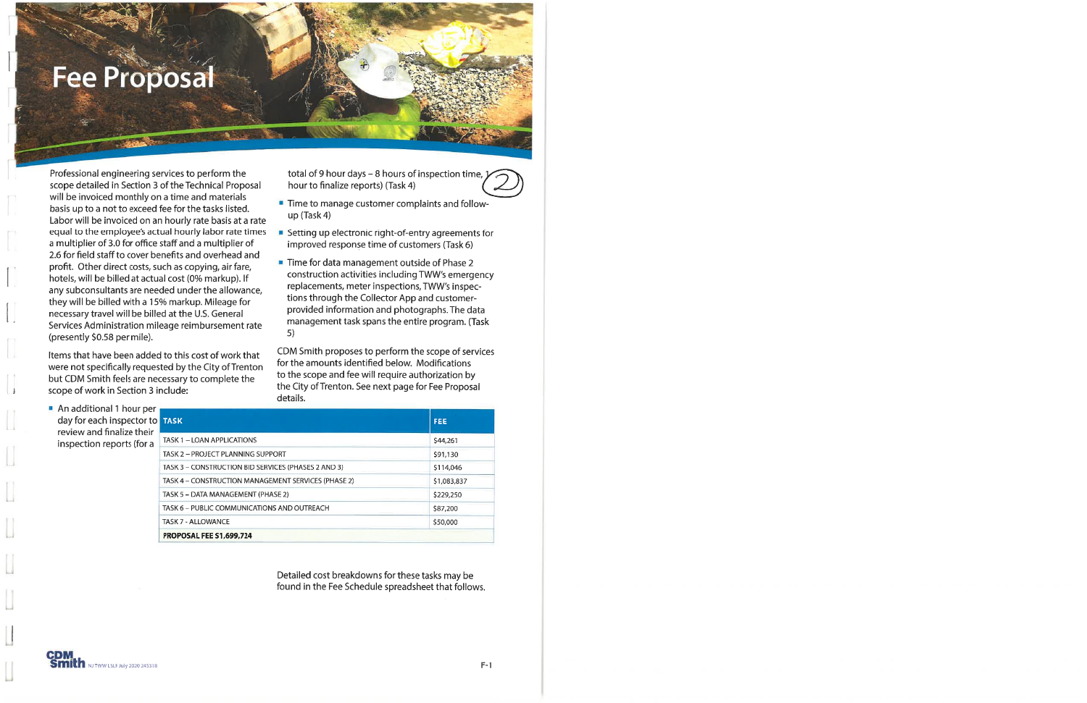### **Fee Proposal**

Professional engineering services to perform the scope detailed in Section 3 of the Technical Proposal will be invoiced monthly on a time and materials basis up to a not to exceed fee for the tasks listed. Labor will be invoiced on an hourly rate basis at a rate equal to the employee's actual hourly labor rate times a multiplier of 3.0 for office staff and a multiplier of 2.6 for field staff to cover benefits and overhead and profit. Other direct costs, such as copying, air fare, hotels, will be billed at actual cost (0% markup). If any subconsultants are needed under the allowance, they will be billed with a 15% markup. Mileage for necessary travel will be billed at the U.S. General Services Administration mileage reimbursement rate (presently \$0.58 per mile).

Items that have been added to this cost of work that were not specifically requested by the City of Trenton but CDM Smith feels are necessary to complete the scope of work in Section 3 include:

total of 9 hour days - 8 hours of inspection time,  $\boldsymbol{\gamma}$ hour to finalize reports) (Task 4)

- " Time to manage customer complaints and follow $up$  (Task 4)
- Setting up electronic right-of-entry agreements for improved response time of customers (Task 6)
- Time for data management outside of Phase 2 construction activities including TWW's emergency replacements, meter inspections, TWW's inspections through the Collector App and customerprovided information and photographs. The data management task spans the entire program. (Task  $5)$

CDM Smith proposes to perform the scope of services for the amounts identified below. Modifications to the scope and fee will require authorization by the City of Trenton. See next page for Fee Proposal details.

An additional 1 hour per day for each inspector to review and finalize their inspection reports (for a

 $\cup$ 

| <b>TASK</b>                                         | <b>FEE</b>  |
|-----------------------------------------------------|-------------|
| TASK 1 - LOAN APPLICATIONS                          | \$44,261    |
| TASK 2 - PROJECT PLANNING SUPPORT                   | \$91.130    |
| TASK 3 - CONSTRUCTION BID SERVICES (PHASES 2 AND 3) | \$114,046   |
| TASK 4 - CONSTRUCTION MANAGEMENT SERVICES (PHASE 2) | \$1,083,837 |
| TASK 5 - DATA MANAGEMENT (PHASE 2)                  | \$229,250   |
| TASK 6 - PUBLIC COMMUNICATIONS AND OUTREACH         | \$87,200    |
| TASK 7 - ALLOWANCE                                  | \$50,000    |
| <b>PROPOSAL FEE \$1,699,724</b>                     |             |

Detailed cost breakdowns for these tasks may be found in the Fee Schedule spreadsheet that follows.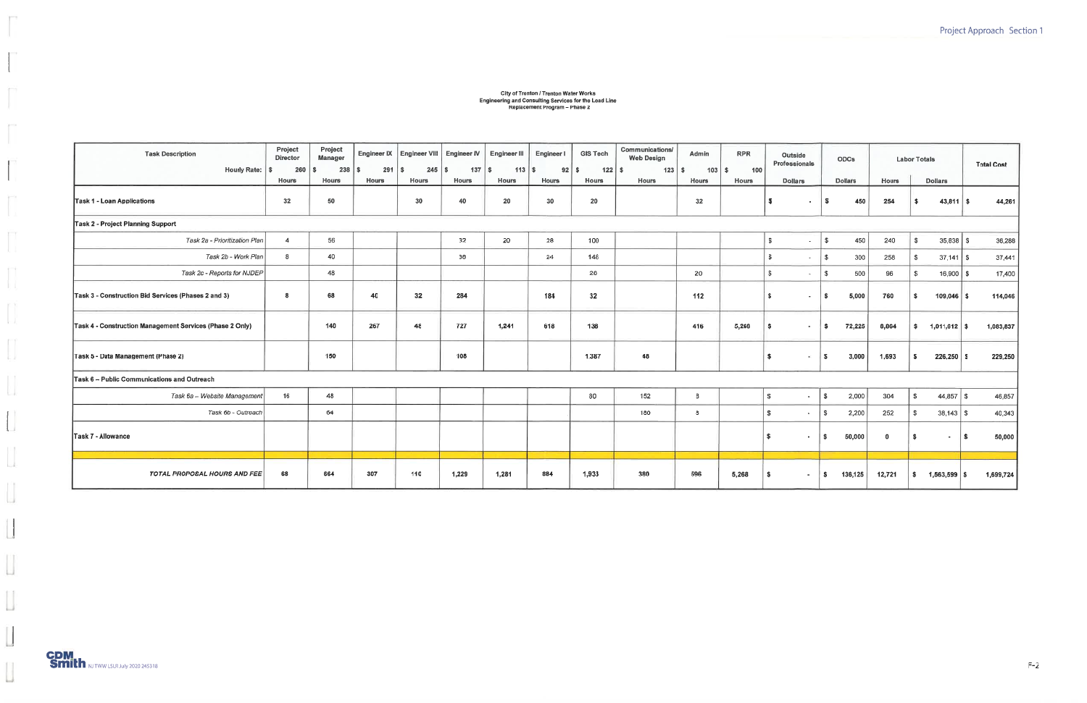### City of Trenton / Trenton Water Works<br>Engineering and Consulting Services for the Lead Line<br>Replacement Program – Phase 2

| <b>Task Description</b><br>Hourly Rate:   \$             | Project<br><b>Director</b><br>260 | Project<br><b>Manager</b><br>238<br>-S | 291<br>$\mathbf{s}$ | Engineer IX   Engineer VIII   Engineer IV<br><b>S</b> | $137$ \$ | <b>Engineer III</b><br>$113$ $\overline{\phantom{1}}$ \$ | Engineer I<br>$92$ $\sqrt{5}$ | <b>GIS Tech</b><br>$122$ \ \$ | Communications/<br><b>Web Design</b><br>$123$ $\sqrt{5}$ | Admin<br>$103$ \$ | <b>RPR</b><br>100 | Outside<br>Professionals       | <b>ODCs</b>         |              | <b>Labor Totals</b>         | <b>Total Cost</b> |
|----------------------------------------------------------|-----------------------------------|----------------------------------------|---------------------|-------------------------------------------------------|----------|----------------------------------------------------------|-------------------------------|-------------------------------|----------------------------------------------------------|-------------------|-------------------|--------------------------------|---------------------|--------------|-----------------------------|-------------------|
|                                                          | <b>Hours</b>                      | Hours                                  | <b>Hours</b>        | <b>Hours</b>                                          | Hours    | Hours                                                    | <b>Hours</b>                  | Hours                         | <b>Hours</b>                                             | Hours             | <b>Hours</b>      | <b>Dollars</b>                 | <b>Dollars</b>      | <b>Hours</b> | <b>Dollars</b>              |                   |
| Task 1 - Loan Applications                               | 32                                | 50                                     |                     | 30                                                    | 40       | 20                                                       | 30                            | 20                            |                                                          | 32                |                   | <b>s</b><br>٠                  | 450<br>s            | 254          | $43,811$ \$<br>s.           | 44,261            |
| Task 2 - Project Planning Support                        |                                   |                                        |                     |                                                       |          |                                                          |                               |                               |                                                          |                   |                   |                                |                     |              |                             |                   |
| Task 2a - Prioritization Plan                            | $\overline{4}$                    | 56                                     |                     |                                                       | 32       | 20                                                       | 28                            | 100                           |                                                          |                   |                   | S.<br>$\overline{\phantom{a}}$ | 450<br>s.           | 240          | $35,838$ \$<br>\$           | 36,288            |
| Task 2b - Work Plan                                      | 8                                 | 40                                     |                     |                                                       | 38       |                                                          | 24                            | 148                           |                                                          |                   |                   | $\mathbf{s}$<br>$\sim$         | $\mathbf{s}$<br>300 | 258          | $37,141$ \$<br>S.           | 37,441            |
| Task 2c - Reports for NJDEP                              |                                   | 48                                     |                     |                                                       |          |                                                          |                               | 28                            |                                                          | 20                |                   | S.                             | 500<br>s.           | 96           | \$<br>$16,900$ \$           | 17,400            |
| Task 3 - Construction Bid Services (Phases 2 and 3)      | $\boldsymbol{8}$                  | 68                                     | 40                  | 32                                                    | 284      |                                                          | 184                           | 32                            |                                                          | 112               |                   | $\mathbf{\hat{x}}$<br>$\sim$   | 5,000<br>\$         | 760          | $109,046$ \$<br>-S.         | 114,046           |
| Task 4 - Construction Management Services (Phase 2 Only) |                                   | 140                                    | 267                 | 48                                                    | 727      | 1,241                                                    | 618                           | 138                           |                                                          | 416               | 5,268             | s<br>$\sim$                    | 72,225<br>S.        | 8,864        | $1,011,612$ \$<br>s.        | 1,083,837         |
| Task 5 - Data Management (Phase 2)                       |                                   | 150                                    |                     |                                                       | 108      |                                                          |                               | 1,387                         | 48                                                       |                   |                   | $\sim$<br>W.                   | 3,000<br>s          | 1,693        | \$<br>$226,250$ \$          | 229,250           |
| Task 6 - Public Communications and Outreach              |                                   |                                        |                     |                                                       |          |                                                          |                               |                               |                                                          |                   |                   |                                |                     |              |                             |                   |
| Task 6a - Website Management                             | 16                                | 48                                     |                     |                                                       |          |                                                          |                               | 80                            | 152                                                      | 8                 |                   | s<br>$\sim$                    | 2,000<br>- \$       | 304          | $44,857$ \$<br>S.           | 46,857            |
| Task 6b - Outreach                                       |                                   | 64                                     |                     |                                                       |          |                                                          |                               |                               | 180                                                      | 8                 |                   | $\mathbf{s}$<br>$\sim$         | 2,200<br>$\sqrt{S}$ | 252          | $\mathbb{S}$<br>$38,143$ \$ | 40,343            |
| Task 7 - Allowance                                       |                                   |                                        |                     |                                                       |          |                                                          |                               |                               |                                                          |                   |                   | $\sim$                         | 50,000<br>l Si      | $\mathbf{0}$ | S.<br>$\sim$                | 50,000<br>\$.     |
|                                                          |                                   |                                        |                     |                                                       |          |                                                          |                               |                               |                                                          |                   |                   |                                |                     |              |                             |                   |
| <b>TOTAL PROPOSAL HOURS AND FEE</b>                      | 68                                | 664                                    | 307                 | 110                                                   | 1,229    | 1,281                                                    | 884                           | 1,933                         | 380                                                      | 596               | 5,268             | l Si<br>$\sim$                 | 136,125<br>∣\$.     | 12,721       | $1,563,599$ \$<br>s.        | 1,699,724         |

F

ü.

m

r

 $r^{-1}$ 

 $\prod_{i=1}^{n}$ 

 $\prod_{i=1}^{n}$ 

 $\begin{bmatrix} \cdot \\ \cdot \end{bmatrix}_i$ 

 $\begin{array}{c} \rule{0pt}{2ex} \rule{0pt}{2ex} \rule{0pt}{2ex} \rule{0pt}{2ex} \rule{0pt}{2ex} \rule{0pt}{2ex} \rule{0pt}{2ex} \rule{0pt}{2ex} \rule{0pt}{2ex} \rule{0pt}{2ex} \rule{0pt}{2ex} \rule{0pt}{2ex} \rule{0pt}{2ex} \rule{0pt}{2ex} \rule{0pt}{2ex} \rule{0pt}{2ex} \rule{0pt}{2ex} \rule{0pt}{2ex} \rule{0pt}{2ex} \rule{0pt}{2ex} \rule{0pt}{2ex} \rule{0pt}{2ex} \rule{0pt}{2ex} \rule{0pt}{$ 

 $\hfill\Box$ 

 $\begin{bmatrix} 1 \\ 0 \\ 0 \end{bmatrix}$ 

 $\begin{bmatrix} \phantom{-} \end{bmatrix}$ 

 $\begin{bmatrix} 1 \\ 1 \end{bmatrix}$ 

 $\begin{tabular}{|c|c|} \hline \quad \quad & \quad \quad & \quad \quad \\ \hline \quad \quad & \quad \quad & \quad \quad \\ \hline \end{tabular}$ 

 $\mathop{\Box}$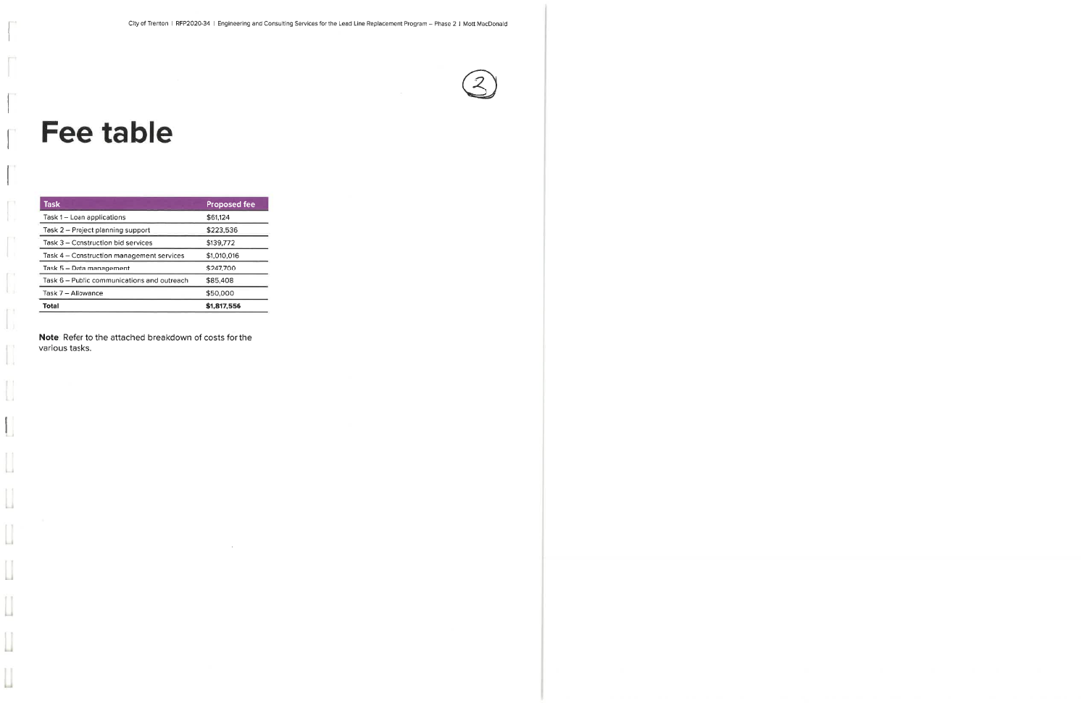## **Fee table**

 $\perp$ 

 $\Box$ 

 $\prod_{i=1}^n$ 

Ł

L

 $\overline{\phantom{a}}$ 

 $\overline{\phantom{a}}$ 

 $\begin{array}{c} \hline \end{array}$ 

IJ

 $\overline{\phantom{a}}$ 

| <b>Task</b>                                 | <b>Proposed fee</b> |
|---------------------------------------------|---------------------|
| Task 1 - Loan applications                  | \$61,124            |
| Task 2 - Project planning support           | \$223,536           |
| Task 3 – Construction bid services          | \$139,772           |
| Task 4 – Construction management services   | \$1,010,016         |
| Task 5 - Data management                    | \$247,700           |
| Task 6 - Public communications and outreach | \$85,408            |
| Task 7 – Allowance                          | \$50,000            |
| Total                                       | \$1,817,556         |

Note: Refer to the attached breakdown of costs for the various tasks.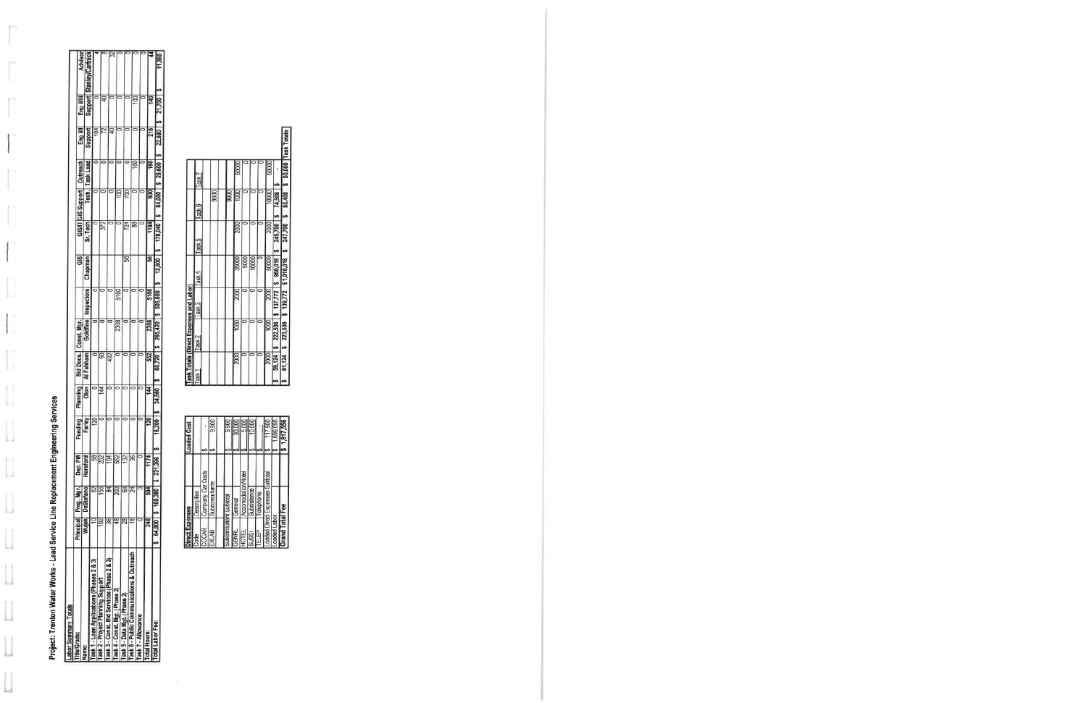Project: Trenton Water Works - Lead Service Line Replacement Engineering Services<br><u>[Labor Summary Totals</u>

 $\int_0^{\infty}$ 

 $\int_0^{\pi}$ 

 $\overline{\phantom{a}}$ 

TT

 $\mathbb{R}^{n\times n}$ ÷.

 $\mathbf{I}$ 

 $\prod_{i=1}^n$ 

 $\Big\vert\Big\vert_{\rm J}^{\eta}$ 

 $\begin{array}{c} \hline \end{array}$ 

 $\overline{\mathcal{L}}$ 

| <b>Lawvi vullilla   Vlais</b>             |              |                        |                 |         |                 |                 |                       |           |         |          |                    |                  |         |         |                      |
|-------------------------------------------|--------------|------------------------|-----------------|---------|-----------------|-----------------|-----------------------|-----------|---------|----------|--------------------|------------------|---------|---------|----------------------|
| itle/Grade:                               |              | Principal  Prog. Mgr.  | Dep. PM         | Funding | <b>Planning</b> |                 | Bid Docs. Const. Mgr. |           | 95<br>G |          | GIS/IT GIS Support | Outreach         | Eng     | Eng     | Advisor              |
| ame:                                      | Wujek,       | DeStefano <sup>1</sup> | Horsford        | Farley  | Oton            | Al Fahham'      | Goldfine              | nspectors | Chapman | Sr. Tech | Tech.              | <b>Task Lead</b> | Support | Support | rlCartni<br>Stanley. |
| ask 1 - Loan Applications (Phases 2 & 3)  |              | 62                     | \$              | 20      |                 |                 |                       |           |         |          |                    |                  |         |         |                      |
| ask 2 - Project Planning Support          | $\mathbf{S}$ | 156                    | $\overline{20}$ |         | 144             | 8               |                       |           |         | 372      |                    |                  | ۶       |         | $\overline{\alpha}$  |
| ask 3 - Const. Bid Services (Phase 2 & 3) | æ            | ट्व                    | 194             |         |                 | 492             |                       |           |         |          |                    |                  |         |         |                      |
| ask 4 - Const. Mgt. (Phase 2)             | ₽            | 200                    | 552             | Ć       |                 |                 | 2308                  | 5160      |         |          | ģ                  |                  |         |         | ౫                    |
| Fask 5 - Data Mgt. (Phase 2)              | ఇ            | 8                      | 132             |         |                 |                 |                       |           | S       | 724      | ξ                  |                  |         |         |                      |
| ask 6 - Public Communications & Outreach  | ٩ć           |                        | B               | ć       |                 |                 |                       |           |         | æ        |                    | 60               |         | 100     |                      |
| ask 7 - Allowance                         |              |                        |                 |         |                 |                 |                       |           |         |          |                    |                  |         |         |                      |
| otal Hours:                               | Z            | 594                    | 1174            | ខ       | 44              | $\overline{52}$ | 2308                  | 5160      | 56      | 1184     | g                  | 160              | 216     | 9       |                      |
| otal Labor Fee:                           | $64,800$   9 | 160,380                | 231,396         | 16,200  | 34,560          | 60.720          | 265.420               | 505.680   | 12.600  | 178.040  | 84.000             | \$29,600         | 22,680  | 21,700  | 188                  |
|                                           |              |                        |                 |         |                 |                 |                       |           |         |          |                    |                  |         |         |                      |

| Direct Expenses        |                                | <b>Loaded Cost</b> |           |                   | Task Totals (Direct Expe |        |
|------------------------|--------------------------------|--------------------|-----------|-------------------|--------------------------|--------|
| Code                   | Description                    |                    |           | Task <sup>-</sup> |                          | Task 2 |
| COCAR                  | Company Car Costs              |                    |           |                   |                          |        |
| EXLAB                  | Subconsultants                 |                    | 9,900     |                   |                          |        |
|                        |                                |                    |           |                   |                          |        |
| Subconsultant Subtotal |                                |                    | 9.900     |                   |                          |        |
| <b>GENRL</b>           | General                        |                    | 93,000    |                   | 2000                     |        |
| <b>HOTEL</b>           | Accomodation/Hotel             |                    | 5.000     |                   |                          |        |
| <b>SUBSI</b>           | Subsistence                    |                    | 10,000    |                   |                          |        |
| ELEP<br>E              | Telephone                      |                    |           |                   |                          |        |
|                        | oaded Direct Expenses Subtotal |                    | 117,900   |                   | 2000                     | ₽      |
| caded Labor            |                                |                    | ,699,656  |                   | 59,124                   | 222,53 |
| Grand Total Fee        |                                |                    | 1,817,556 |                   | 61.124                   | 223.5  |

 $\sim$ 

|                   |                                                          |      |      |       |       |      |       |         | 50,000 Task Totals        |
|-------------------|----------------------------------------------------------|------|------|-------|-------|------|-------|---------|---------------------------|
|                   |                                                          |      |      |       |       |      |       |         |                           |
|                   |                                                          | 9900 | 9900 | 8     |       |      | 10900 | 74,508  | 85,408                    |
|                   |                                                          |      |      | 2000  |       |      | 2000  | 245,700 | 247,700                   |
|                   |                                                          |      |      | 35000 | 5000  | 0000 | 50000 |         | \$ 139,772 \$1,010,016 \$ |
|                   |                                                          |      |      | 2000  |       |      | 2000  |         |                           |
|                   |                                                          |      |      | goo   |       |      | 800   | 222,536 | 223,536                   |
| Task <sub>1</sub> |                                                          |      |      | 2000  |       |      | 2000  | 59,124  | 61.124                    |
|                   | Task 7<br>Task 6<br>Task 5<br>Task 4<br>Task 3<br>Task 2 |      |      |       | 50000 |      |       | 50000   | $$137,772$ $$960,016$ $$$ |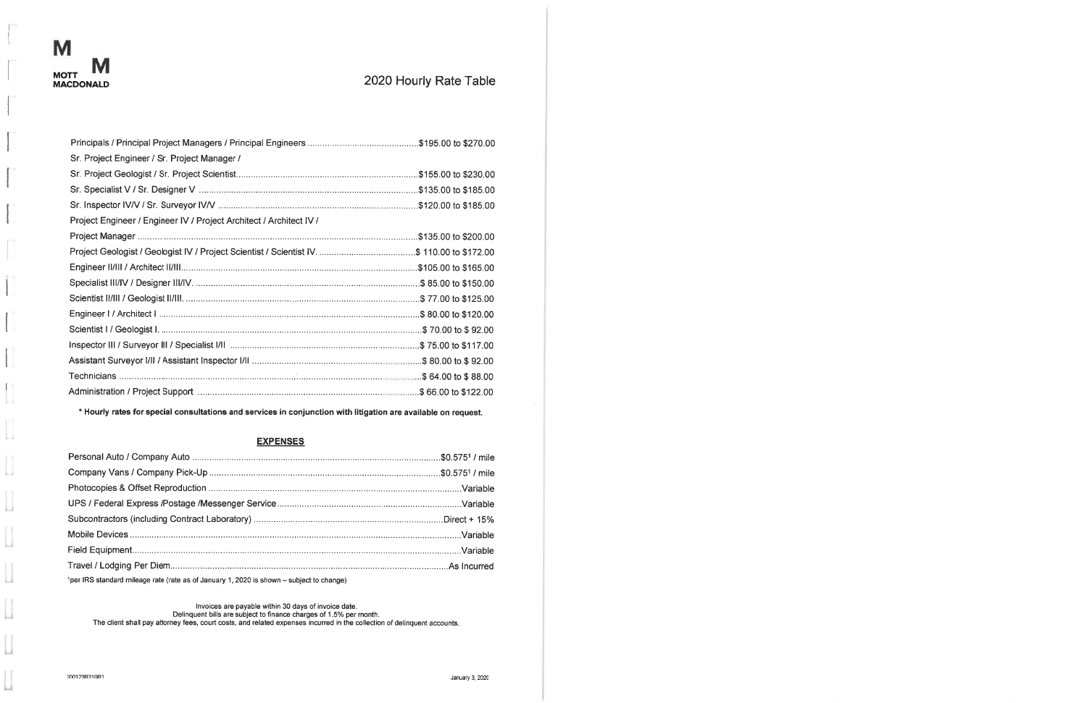1

M

 $\mathbf{1}$ 

-L.

 $\mathbf{I}$ d.

 $\begin{bmatrix} \phantom{-} \end{bmatrix}$ 

 $\begin{array}{c} \hline \end{array}$ 

 $\overline{\phantom{a}}$ 

Ц

 $\overline{\phantom{a}}$ 

 $\mathop{\Box}$ 

 $\overline{\phantom{a}}$ 

 $\prod_{\alpha\in\Delta}$ 

### 2020 Hourly Rate Table

| Sr. Project Engineer / Sr. Project Manager /                                               |
|--------------------------------------------------------------------------------------------|
|                                                                                            |
|                                                                                            |
|                                                                                            |
|                                                                                            |
| Project Engineer / Engineer IV / Project Architect / Architect IV /                        |
|                                                                                            |
| Project Geologist / Geologist IV / Project Scientist / Scientist IV. \$ 110.00 to \$172.00 |
|                                                                                            |
|                                                                                            |
|                                                                                            |
|                                                                                            |
|                                                                                            |
|                                                                                            |
|                                                                                            |
|                                                                                            |
|                                                                                            |

\* Hourly rates for special consultations and services in conjunction with litigation are available on request.

#### **EXPENSES**

| 1per IRS standard mileage rate (rate as of January 1, 2020 is shown - subject to change) |  |
|------------------------------------------------------------------------------------------|--|

Invoices are payable within 30 days of invoice date.<br>Delinquent bills are subject to finance charges of 1.5% per month.<br>The client shall pay attorney fees, court costs, and related expenses incurred in the collection of de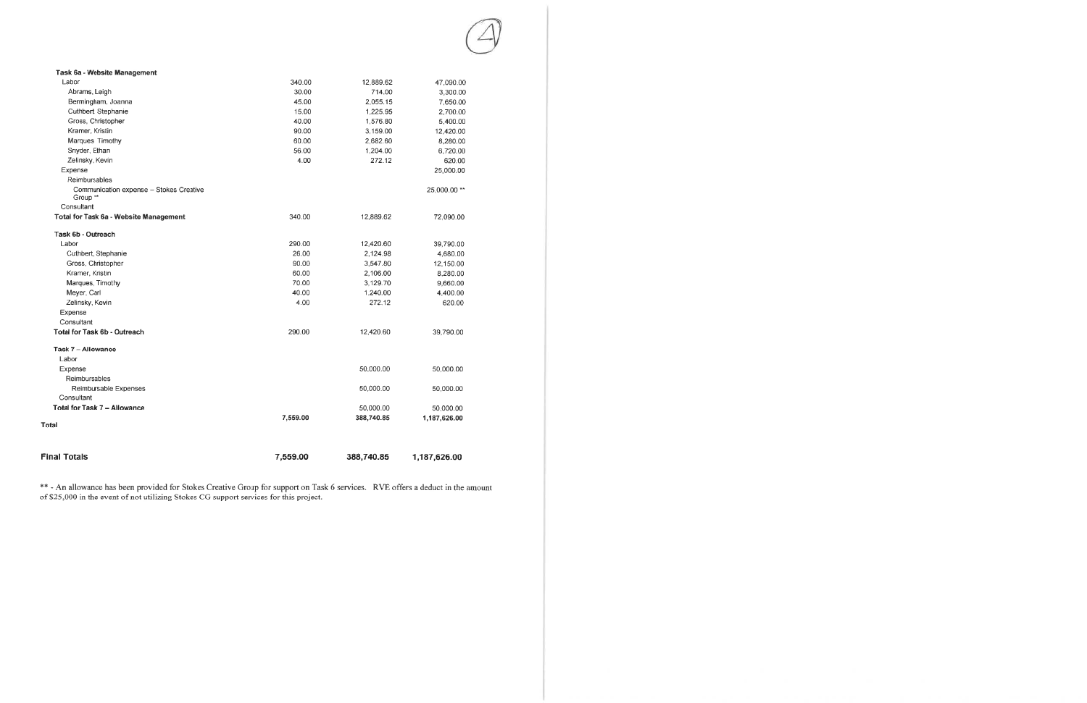| <b>Final Totals</b>                                 | 7,559.00 | 388,740.85 | 1,187,626.00 |
|-----------------------------------------------------|----------|------------|--------------|
|                                                     |          |            |              |
| <b>Total</b>                                        | 7,559.00 | 388,740.85 | 1,187,626.00 |
| Total for Task 7 - Allowance                        |          | 50,000.00  | 50,000.00    |
| Consultant                                          |          |            |              |
| Reimbursable Expenses                               |          | 50,000.00  | 50,000.00    |
| Reimbursables                                       |          |            |              |
| Expense                                             |          | 50,000.00  | 50,000.00    |
| Labor                                               |          |            |              |
| Task 7 - Allowance                                  |          |            |              |
| Total for Task 6b - Outreach                        | 290.00   | 12,420.60  | 39,790.00    |
| Consultant                                          |          |            |              |
| Expense                                             |          |            |              |
| Zelinsky, Kevin                                     | 4.00     | 272.12     | 620.00       |
| Meyer, Carl                                         | 40.00    | 1,240.00   | 4,400.00     |
| Marques, Timothy                                    | 70.00    | 3,129.70   | 9,660.00     |
| Kramer, Kristin                                     | 60.00    | 2,106.00   | 8,280.00     |
| Gross, Christopher                                  | 90.00    | 3,547.80   | 12,150.00    |
| Cuthbert, Stephanie                                 | 26.00    | 2.124.98   | 4,680.00     |
| Labor                                               | 290.00   | 12,420.60  | 39,790.00    |
| Task 6b - Outreach                                  |          |            |              |
| Total for Task 6a - Website Management              | 340.00   | 12,889.62  | 72,090.00    |
| Consultant                                          |          |            |              |
| Communication expense - Stokes Creative<br>Group ** |          |            | 25,000.00 ** |
| Reimbursables                                       |          |            |              |
| Expense                                             |          |            | 25,000.00    |
| Zelinsky, Kevin                                     | 4.00     | 272.12     | 620.00       |
| Snyder, Ethan                                       | 56.00    | 1,204.00   | 6,720.00     |
| Marques, Timothy                                    | 60.00    | 2,682.60   | 8,280.00     |
| Kramer, Kristin                                     | 90.00    | 3,159.00   | 12,420.00    |
| Gross, Christopher                                  | 40.00    | 1,576.80   | 5,400.00     |
| Cuthbert, Stephanie                                 | 15.00    | 1,225.95   | 2,700.00     |
| Bermingham, Joanna                                  | 45.00    | 2,055.15   | 7,650.00     |
| Abrams, Leigh                                       | 30.00    | 714.00     | 3,300.00     |
| Labor                                               | 340.00   | 12,889.62  | 47,090.00    |
| Task 6a - Website Management                        |          |            |              |

\*\* - An allowance has been provided for Stokes Creative Group for support on Task 6 services. RVE offers a deduct in the amount of \$25,000 in the event of not utilizing Stokes CG support services for this project.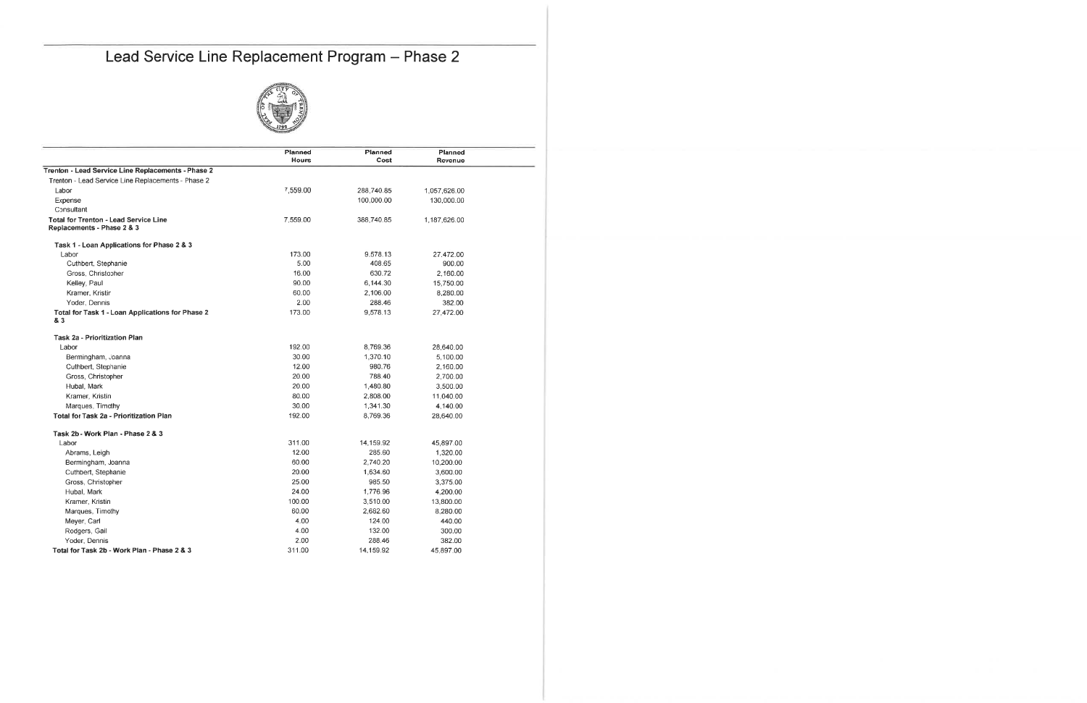### Lead Service Line Replacement Program - Phase 2



 $\overline{\phantom{0}}$ 

|                                                                            | Planned      | Planned    | Planned      |  |
|----------------------------------------------------------------------------|--------------|------------|--------------|--|
| Trenton - Lead Service Line Replacements - Phase 2                         | <b>Hours</b> | Cost       | Revenue      |  |
|                                                                            |              |            |              |  |
| Trenton - Lead Service Line Replacements - Phase 2                         | 7.559.00     | 288,740.85 |              |  |
| Labor                                                                      |              |            | 1,057,626.00 |  |
| Expense                                                                    |              | 100,000.00 | 130,000.00   |  |
| Consultant                                                                 | 7,559.00     |            |              |  |
| <b>Total for Trenton - Lead Service Line</b><br>Replacements - Phase 2 & 3 |              | 388,740.85 | 1,187,626.00 |  |
| Task 1 - Loan Applications for Phase 2 & 3                                 |              |            |              |  |
| Labor                                                                      | 173.00       | 9,578.13   | 27,472.00    |  |
| Cuthbert, Stephanie                                                        | 5.00         | 408.65     | 900.00       |  |
| Gross, Christopher                                                         | 16.00        | 630.72     | 2,160.00     |  |
| Kelley, Paul                                                               | 90.00        | 6,144.30   | 15,750.00    |  |
| Kramer, Kristin                                                            | 60.00        | 2,106.00   | 8,280.00     |  |
| Yoder, Dennis                                                              | 2.00         | 288.46     | 382.00       |  |
| Total for Task 1 - Loan Applications for Phase 2<br>& 3                    | 173.00       | 9,578.13   | 27,472.00    |  |
| <b>Task 2a - Prioritization Plan</b>                                       |              |            |              |  |
| Labor                                                                      | 192.00       | 8.769.36   | 28,640.00    |  |
| Bermingham, Joanna                                                         | 30.00        | 1,370.10   | 5,100.00     |  |
| Cuthbert, Stephanie                                                        | 12.00        | 980.76     | 2,160.00     |  |
| Gross, Christopher                                                         | 20.00        | 788.40     | 2,700.00     |  |
| Hubal, Mark                                                                | 20.00        | 1,480.80   | 3,500.00     |  |
| Kramer, Kristin                                                            | 80.00        | 2,808.00   | 11,040.00    |  |
| Marques, Timothy                                                           | 30.00        | 1,341.30   | 4,140.00     |  |
| Total for Task 2a - Prioritization Plan                                    | 192.00       | 8,769.36   | 28,640.00    |  |
| Task 2b - Work Plan - Phase 2 & 3                                          |              |            |              |  |
| Labor                                                                      | 311.00       | 14,159.92  | 45,897.00    |  |
| Abrams, Leigh                                                              | 12.00        | 285.60     | 1,320.00     |  |
| Bermingham, Joanna                                                         | 60.00        | 2,740.20   | 10,200.00    |  |
| Cuthbert, Stephanie                                                        | 20.00        | 1,634.60   | 3,600.00     |  |
| Gross, Christopher                                                         | 25.00        | 985.50     | 3,375.00     |  |
| Hubal, Mark                                                                | 24.00        | 1,776.96   | 4,200.00     |  |
| Kramer, Kristin                                                            | 100.00       | 3,510.00   | 13,800.00    |  |
| Marques, Timothy                                                           | 60.00        | 2,682.60   | 8,280.00     |  |
| Meyer, Carl                                                                | 4.00         | 124.00     | 440.00       |  |
| Rodgers, Gail                                                              | 4.00         | 132.00     | 300.00       |  |
| Yoder, Dennis                                                              | 2.00         | 288.46     | 382.00       |  |
| Total for Task 2b - Work Plan - Phase 2 & 3                                | 311.00       | 14.159.92  | 45.897.00    |  |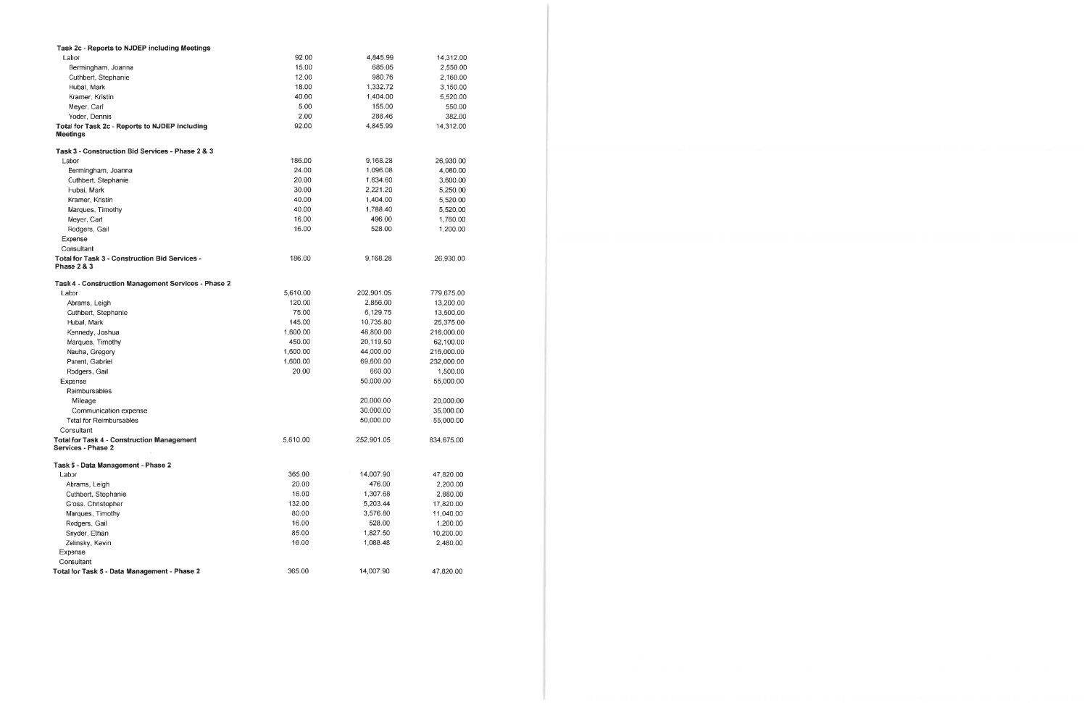| Task 2c - Reports to NJDEP including Meetings                                   |          |            |            |
|---------------------------------------------------------------------------------|----------|------------|------------|
| Labor                                                                           | 92.00    | 4,845.99   | 14,312.00  |
| Bermingham, Joanna                                                              | 15.00    | 685.05     | 2,550.00   |
| Cuthbert, Stephanie                                                             | 12.00    | 980.76     | 2,160.00   |
| Hubal, Mark                                                                     | 18.00    | 1,332.72   | 3,150.00   |
| Kramer, Kristin                                                                 | 40.00    | 1,404.00   | 5,520.00   |
| Meyer, Carl                                                                     | 5.00     | 155.00     | 550.00     |
| Yoder, Dennis                                                                   | 2.00     | 288.46     | 382.00     |
| Total for Task 2c - Reports to NJDEP including                                  | 92.00    | 4,845.99   | 14,312.00  |
| <b>Meetings</b>                                                                 |          |            |            |
| Task 3 - Construction Bid Services - Phase 2 & 3                                |          |            |            |
| Labor                                                                           | 186.00   | 9,168.28   | 26,930.00  |
| Bermingham, Joanna                                                              | 24.00    | 1,096.08   | 4,080.00   |
| Cuthbert, Stephanie                                                             | 20.00    | 1,634.60   | 3,600.00   |
| Hubal, Mark                                                                     | 30.00    | 2,221.20   | 5,250.00   |
| Kramer, Kristin                                                                 | 40.00    | 1,404.00   | 5,520.00   |
| Marques, Timothy                                                                | 40.00    | 1,788.40   | 5,520.00   |
|                                                                                 | 16.00    | 496.00     |            |
| Meyer, Carl                                                                     | 16.00    | 528.00     | 1,760.00   |
| Rodgers, Gail                                                                   |          |            | 1,200.00   |
| Expense                                                                         |          |            |            |
| Consultant                                                                      |          |            |            |
| <b>Total for Task 3 - Construction Bid Services -</b><br><b>Phase 2 &amp; 3</b> | 186.00   | 9,168.28   | 26,930.00  |
|                                                                                 |          |            |            |
| Task 4 - Construction Management Services - Phase 2                             |          |            |            |
| Labor                                                                           | 5,610.00 | 202,901.05 | 779,675.00 |
| Abrams, Leigh                                                                   | 120.00   | 2,856.00   | 13,200.00  |
| Cuthbert, Stephanie                                                             | 75.00    | 6,129.75   | 13,500.00  |
| Hubal, Mark                                                                     | 145.00   | 10,735.80  | 25,375.00  |
| Kennedy, Joshua                                                                 | 1,600.00 | 48,800.00  | 216,000.00 |
| Marques, Timothy                                                                | 450.00   | 20,119.50  | 62,100.00  |
| Nauha, Gregory                                                                  | 1,600.00 | 44,000.00  | 216,000.00 |
| Parent, Gabriel                                                                 | 1,600.00 | 69,600.00  | 232,000.00 |
| Rodgers, Gail                                                                   | 20.00    | 660.00     | 1,500.00   |
| Expense                                                                         |          | 50,000.00  | 55,000.00  |
| Reimbursables                                                                   |          |            |            |
| Mileage                                                                         |          | 20,000.00  | 20,000.00  |
| Communication expense                                                           |          | 30,000.00  | 35,000.00  |
| <b>Total for Reimbursables</b>                                                  |          | 50.000.00  | 55,000.00  |
| Consultant                                                                      |          |            |            |
| <b>Total for Task 4 - Construction Management</b>                               | 5,610.00 | 252,901.05 | 834,675.00 |
| Services - Phase 2                                                              |          |            |            |
| Task 5 - Data Management - Phase 2                                              |          |            |            |
| Labor                                                                           | 365.00   | 14,007.90  | 47,820.00  |
| Abrams, Leigh                                                                   | 20.00    | 476.00     | 2,200.00   |
| Cuthbert, Stephanie                                                             | 16.00    | 1,307.68   | 2,880.00   |
| Gross, Christopher                                                              | 132.00   | 5,203.44   | 17,820.00  |
| Marques, Timothy                                                                | 80.00    | 3,576.80   | 11,040.00  |
| Rodgers, Gail                                                                   | 16.00    | 528.00     | 1,200.00   |
| Snyder, Ethan                                                                   | 85.00    | 1,827.50   | 10,200.00  |
| Zelinsky, Kevin                                                                 | 16.00    | 1,088.48   | 2,480.00   |
| Expense                                                                         |          |            |            |
| Consultant                                                                      |          |            |            |
| Total for Task 5 - Data Management - Phase 2                                    | 365.00   | 14,007.90  | 47,820.00  |
|                                                                                 |          |            |            |